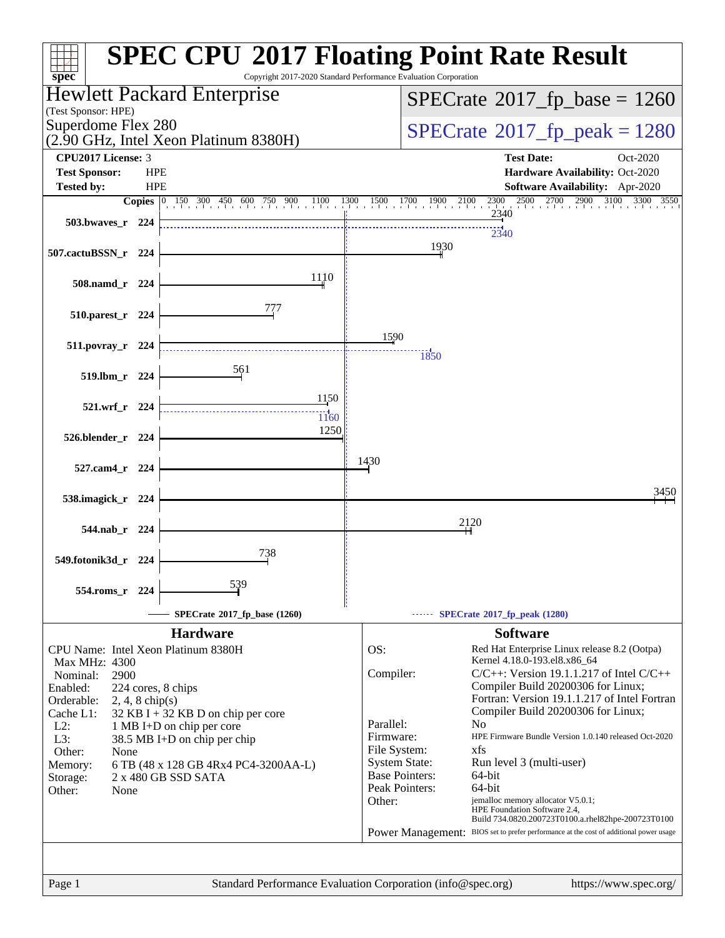| $spec^*$                                                                                                                 | <b>SPEC CPU®2017 Floating Point Rate Result</b><br>Copyright 2017-2020 Standard Performance Evaluation Corporation |
|--------------------------------------------------------------------------------------------------------------------------|--------------------------------------------------------------------------------------------------------------------|
| Hewlett Packard Enterprise                                                                                               | $SPECrate^{\circ}2017$ _fp_base = 1260                                                                             |
| (Test Sponsor: HPE)<br>Superdome Flex 280                                                                                |                                                                                                                    |
| (2.90 GHz, Intel Xeon Platinum 8380H)                                                                                    | $SPECTate^{\circ}2017$ _fp_peak = 1280                                                                             |
| CPU2017 License: 3<br><b>Test Sponsor:</b><br><b>HPE</b>                                                                 | <b>Test Date:</b><br>Oct-2020<br>Hardware Availability: Oct-2020                                                   |
| <b>HPE</b><br><b>Tested by:</b>                                                                                          | Software Availability: Apr-2020                                                                                    |
| <b>Copies</b><br>$\begin{bmatrix} 0 & 150 & 300 & 450 & 600 & 750 & 900 & 1100 & 1300 & 1500 & 1700 & 190 \end{bmatrix}$ | 2500 2700 2900<br>3100<br>3300 3550<br>1900<br>2100<br>$^{2300}$                                                   |
| 503.bwayes_r 224                                                                                                         | 2340                                                                                                               |
|                                                                                                                          | 2340<br>1930                                                                                                       |
| 507.cactuBSSN_r 224                                                                                                      |                                                                                                                    |
| 1110<br>508.namd_r 224                                                                                                   |                                                                                                                    |
|                                                                                                                          |                                                                                                                    |
| 510.parest_r 224                                                                                                         |                                                                                                                    |
| $511. povray_r$ 224                                                                                                      | 1590                                                                                                               |
| 561                                                                                                                      | 1850                                                                                                               |
| 519.lbm_r 224                                                                                                            |                                                                                                                    |
| 1150<br>521.wrf_r 224                                                                                                    |                                                                                                                    |
| 1160<br>1250                                                                                                             |                                                                                                                    |
| 526.blender_r 224                                                                                                        |                                                                                                                    |
| 527.cam4_r 224                                                                                                           | 1430                                                                                                               |
|                                                                                                                          | 3450                                                                                                               |
| 538.imagick_r 224                                                                                                        |                                                                                                                    |
| 544.nab_r 224                                                                                                            | 2120                                                                                                               |
|                                                                                                                          |                                                                                                                    |
| 738<br>549.fotonik3d_r 224                                                                                               |                                                                                                                    |
| 539<br>554.roms_r<br>224                                                                                                 |                                                                                                                    |
|                                                                                                                          |                                                                                                                    |
| SPECrate*2017_fp_base (1260)<br><b>Hardware</b>                                                                          | SPECrate <sup>®</sup> 2017_fp_peak (1280)<br><b>Software</b>                                                       |
| CPU Name: Intel Xeon Platinum 8380H                                                                                      | OS:<br>Red Hat Enterprise Linux release 8.2 (Ootpa)                                                                |
| Max MHz: 4300                                                                                                            | Kernel 4.18.0-193.el8.x86_64<br>$C/C++$ : Version 19.1.1.217 of Intel $C/C++$<br>Compiler:                         |
| Nominal:<br>2900<br>Enabled:<br>224 cores, 8 chips                                                                       | Compiler Build 20200306 for Linux;                                                                                 |
| Orderable:<br>$2, 4, 8$ chip(s)                                                                                          | Fortran: Version 19.1.1.217 of Intel Fortran<br>Compiler Build 20200306 for Linux;                                 |
| Cache L1:<br>$32$ KB I + 32 KB D on chip per core<br>$L2$ :<br>1 MB I+D on chip per core                                 | Parallel:<br>N <sub>o</sub>                                                                                        |
| L3:<br>38.5 MB I+D on chip per chip                                                                                      | HPE Firmware Bundle Version 1.0.140 released Oct-2020<br>Firmware:<br>xfs                                          |
| Other:<br>None<br>6 TB (48 x 128 GB 4Rx4 PC4-3200AA-L)<br>Memory:                                                        | File System:<br><b>System State:</b><br>Run level 3 (multi-user)                                                   |
| 2 x 480 GB SSD SATA<br>Storage:                                                                                          | <b>Base Pointers:</b><br>64-bit                                                                                    |
| Other:<br>None                                                                                                           | Peak Pointers:<br>64-bit<br>Other:<br>jemalloc memory allocator V5.0.1;                                            |
|                                                                                                                          | HPE Foundation Software 2.4,<br>Build 734.0820.200723T0100.a.rhel82hpe-200723T0100                                 |
|                                                                                                                          | BIOS set to prefer performance at the cost of additional power usage<br>Power Management:                          |
|                                                                                                                          |                                                                                                                    |
| Page 1                                                                                                                   | Standard Performance Evaluation Corporation (info@spec.org)<br>https://www.spec.org/                               |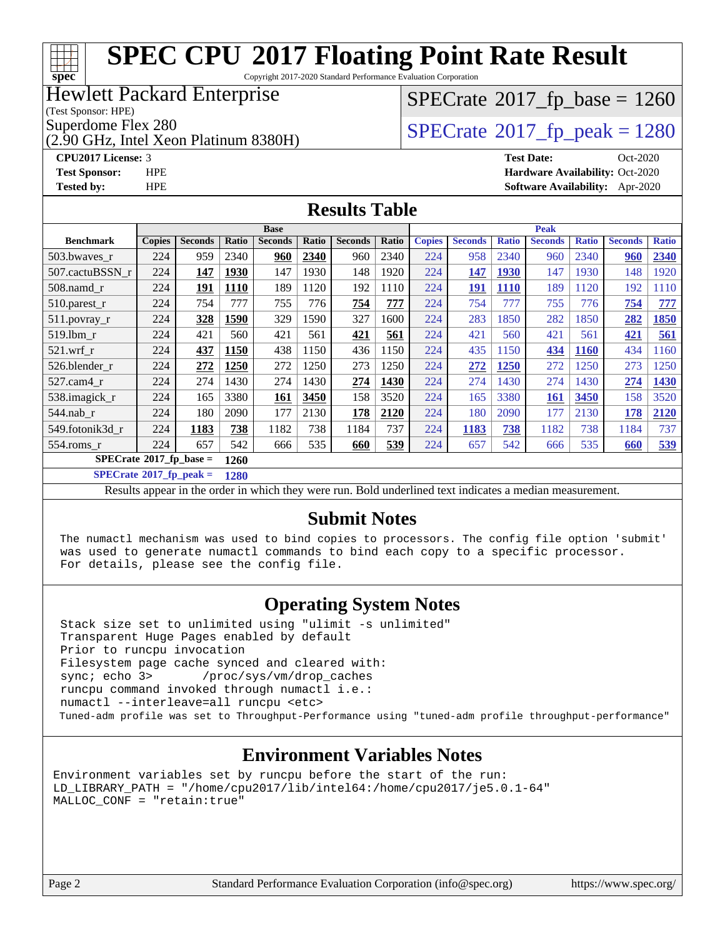#### **[SPEC CPU](http://www.spec.org/auto/cpu2017/Docs/result-fields.html#SPECCPU2017FloatingPointRateResult)[2017 Floating Point Rate Result](http://www.spec.org/auto/cpu2017/Docs/result-fields.html#SPECCPU2017FloatingPointRateResult)**  $+\ +$ **[spec](http://www.spec.org/)** Copyright 2017-2020 Standard Performance Evaluation Corporation Hewlett Packard Enterprise  $SPECTate$ <sup>®</sup>[2017\\_fp\\_base =](http://www.spec.org/auto/cpu2017/Docs/result-fields.html#SPECrate2017fpbase) 1260 (Test Sponsor: HPE) Superdome Flex 280<br> $\alpha$  [SPECrate](http://www.spec.org/auto/cpu2017/Docs/result-fields.html#SPECrate2017fppeak)®[2017\\_fp\\_peak = 1](http://www.spec.org/auto/cpu2017/Docs/result-fields.html#SPECrate2017fppeak)280 (2.90 GHz, Intel Xeon Platinum 8380H)

#### **[CPU2017 License:](http://www.spec.org/auto/cpu2017/Docs/result-fields.html#CPU2017License)** 3 **[Test Date:](http://www.spec.org/auto/cpu2017/Docs/result-fields.html#TestDate)** Oct-2020 **[Test Sponsor:](http://www.spec.org/auto/cpu2017/Docs/result-fields.html#TestSponsor)** HPE **[Hardware Availability:](http://www.spec.org/auto/cpu2017/Docs/result-fields.html#HardwareAvailability)** Oct-2020 **[Tested by:](http://www.spec.org/auto/cpu2017/Docs/result-fields.html#Testedby)** HPE **[Software Availability:](http://www.spec.org/auto/cpu2017/Docs/result-fields.html#SoftwareAvailability)** Apr-2020

#### **[Results Table](http://www.spec.org/auto/cpu2017/Docs/result-fields.html#ResultsTable)**

|                             | <b>Base</b>   |                |             |                |       |                |       |               | <b>Peak</b>    |              |                |              |                |              |  |
|-----------------------------|---------------|----------------|-------------|----------------|-------|----------------|-------|---------------|----------------|--------------|----------------|--------------|----------------|--------------|--|
| <b>Benchmark</b>            | <b>Copies</b> | <b>Seconds</b> | Ratio       | <b>Seconds</b> | Ratio | <b>Seconds</b> | Ratio | <b>Copies</b> | <b>Seconds</b> | <b>Ratio</b> | <b>Seconds</b> | <b>Ratio</b> | <b>Seconds</b> | <b>Ratio</b> |  |
| 503.bwaves r                | 224           | 959            | 2340        | 960            | 2340  | 960            | 2340  | 224           | 958            | 2340         | 960            | 2340         | <u>960</u>     | 2340         |  |
| 507.cactuBSSN r             | 224           | 147            | 1930        | 147            | 1930  | 148            | 1920  | 224           | 147            | <b>1930</b>  | 147            | 1930         | 148            | 1920         |  |
| $508$ .namd $_r$            | 224           | 191            | <b>1110</b> | 189            | 1120  | 192            | 1110  | 224           | 191            | <b>1110</b>  | 189            | 1120         | 192            | 1110         |  |
| 510.parest_r                | 224           | 754            | 777         | 755            | 776   | 754            | 777   | 224           | 754            | 777          | 755            | 776          | 754            | 777          |  |
| 511.povray_r                | 224           | 328            | 1590        | 329            | 1590  | 327            | 1600  | 224           | 283            | 1850         | 282            | 1850         | 282            | 1850         |  |
| 519.lbm r                   | 224           | 421            | 560         | 421            | 561   | 421            | 561   | 224           | 421            | 560          | 421            | 561          | 421            | 561          |  |
| $521$ .wrf r                | 224           | 437            | 1150        | 438            | 1150  | 436            | 1150  | 224           | 435            | 1150         | 434            | 1160         | 434            | 1160         |  |
| 526.blender r               | 224           | 272            | 1250        | 272            | 1250  | 273            | 1250  | 224           | 272            | 1250         | 272            | 1250         | 273            | 1250         |  |
| 527.cam4 r                  | 224           | 274            | 1430        | 274            | 1430  | 274            | 1430  | 224           | 274            | 1430         | 274            | 1430         | 274            | 1430         |  |
| 538.imagick_r               | 224           | 165            | 3380        | 161            | 3450  | 158            | 3520  | 224           | 165            | 3380         | <b>161</b>     | 3450         | 158            | 3520         |  |
| 544.nab r                   | 224           | 180            | 2090        | 177            | 2130  | 178            | 2120  | 224           | 180            | 2090         | 177            | 2130         | 178            | 2120         |  |
| 549.fotonik3d r             | 224           | 1183           | 738         | 1182           | 738   | 1184           | 737   | 224           | 1183           | 738          | 1182           | 738          | 1184           | 737          |  |
| $554$ .roms_r               | 224           | 657            | 542         | 666            | 535   | 660            | 539   | 224           | 657            | 542          | 666            | 535          | 660            | 539          |  |
| $SPECrate^*2017_fp\_base =$ |               |                | 1260        |                |       |                |       |               |                |              |                |              |                |              |  |
| $-$<br>$-0.0000$            |               |                |             |                |       |                |       |               |                |              |                |              |                |              |  |

**[SPECrate](http://www.spec.org/auto/cpu2017/Docs/result-fields.html#SPECrate2017fppeak)[2017\\_fp\\_peak =](http://www.spec.org/auto/cpu2017/Docs/result-fields.html#SPECrate2017fppeak) 1280**

Results appear in the [order in which they were run](http://www.spec.org/auto/cpu2017/Docs/result-fields.html#RunOrder). Bold underlined text [indicates a median measurement](http://www.spec.org/auto/cpu2017/Docs/result-fields.html#Median).

#### **[Submit Notes](http://www.spec.org/auto/cpu2017/Docs/result-fields.html#SubmitNotes)**

 The numactl mechanism was used to bind copies to processors. The config file option 'submit' was used to generate numactl commands to bind each copy to a specific processor. For details, please see the config file.

## **[Operating System Notes](http://www.spec.org/auto/cpu2017/Docs/result-fields.html#OperatingSystemNotes)**

 Stack size set to unlimited using "ulimit -s unlimited" Transparent Huge Pages enabled by default Prior to runcpu invocation Filesystem page cache synced and cleared with: sync; echo 3> /proc/sys/vm/drop\_caches runcpu command invoked through numactl i.e.: numactl --interleave=all runcpu <etc> Tuned-adm profile was set to Throughput-Performance using "tuned-adm profile throughput-performance"

## **[Environment Variables Notes](http://www.spec.org/auto/cpu2017/Docs/result-fields.html#EnvironmentVariablesNotes)**

Environment variables set by runcpu before the start of the run: LD\_LIBRARY\_PATH = "/home/cpu2017/lib/intel64:/home/cpu2017/je5.0.1-64" MALLOC\_CONF = "retain:true"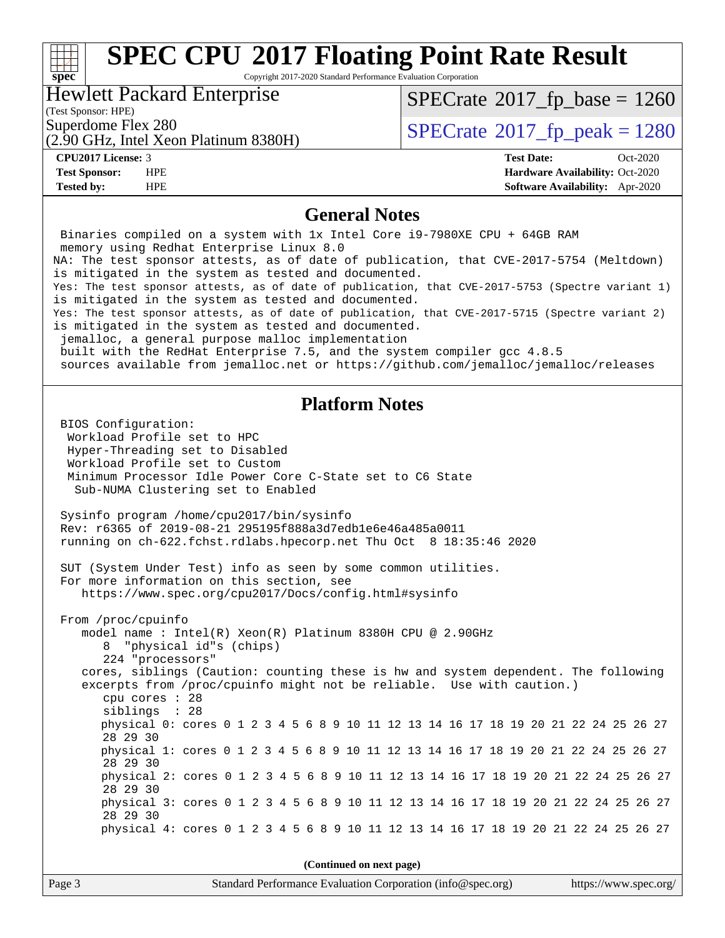#### **[SPEC CPU](http://www.spec.org/auto/cpu2017/Docs/result-fields.html#SPECCPU2017FloatingPointRateResult)[2017 Floating Point Rate Result](http://www.spec.org/auto/cpu2017/Docs/result-fields.html#SPECCPU2017FloatingPointRateResult)**  $\begin{matrix} & \ + \ + \end{matrix}$ **[spec](http://www.spec.org/)** Copyright 2017-2020 Standard Performance Evaluation Corporation Hewlett Packard Enterprise  $SPECrate@2017_fp\_base = 1260$  $SPECrate@2017_fp\_base = 1260$

(Test Sponsor: HPE)

 $SPECTate@2017_fp\_peak = 1280$ 

(2.90 GHz, Intel Xeon Platinum 8380H)

**[Tested by:](http://www.spec.org/auto/cpu2017/Docs/result-fields.html#Testedby)** HPE **[Software Availability:](http://www.spec.org/auto/cpu2017/Docs/result-fields.html#SoftwareAvailability)** Apr-2020

**[CPU2017 License:](http://www.spec.org/auto/cpu2017/Docs/result-fields.html#CPU2017License)** 3 **[Test Date:](http://www.spec.org/auto/cpu2017/Docs/result-fields.html#TestDate)** Oct-2020 **[Test Sponsor:](http://www.spec.org/auto/cpu2017/Docs/result-fields.html#TestSponsor)** HPE **[Hardware Availability:](http://www.spec.org/auto/cpu2017/Docs/result-fields.html#HardwareAvailability)** Oct-2020

#### **[General Notes](http://www.spec.org/auto/cpu2017/Docs/result-fields.html#GeneralNotes)**

| Binaries compiled on a system with 1x Intel Core i9-7980XE CPU + 64GB RAM<br>memory using Redhat Enterprise Linux 8.0                                       |  |  |  |  |  |  |  |  |  |
|-------------------------------------------------------------------------------------------------------------------------------------------------------------|--|--|--|--|--|--|--|--|--|
| NA: The test sponsor attests, as of date of publication, that CVE-2017-5754 (Meltdown)<br>is mitigated in the system as tested and documented.              |  |  |  |  |  |  |  |  |  |
| Yes: The test sponsor attests, as of date of publication, that CVE-2017-5753 (Spectre variant 1)<br>is mitigated in the system as tested and documented.    |  |  |  |  |  |  |  |  |  |
| Yes: The test sponsor attests, as of date of publication, that CVE-2017-5715 (Spectre variant 2)<br>is mitigated in the system as tested and documented.    |  |  |  |  |  |  |  |  |  |
| jemalloc, a general purpose malloc implementation<br>built with the RedHat Enterprise 7.5, and the system compiler gcc 4.8.5                                |  |  |  |  |  |  |  |  |  |
| sources available from jemalloc.net or https://github.com/jemalloc/jemalloc/releases                                                                        |  |  |  |  |  |  |  |  |  |
| <b>Platform Notes</b>                                                                                                                                       |  |  |  |  |  |  |  |  |  |
| BIOS Configuration:                                                                                                                                         |  |  |  |  |  |  |  |  |  |
| Workload Profile set to HPC<br>Hyper-Threading set to Disabled                                                                                              |  |  |  |  |  |  |  |  |  |
| Workload Profile set to Custom<br>Minimum Processor Idle Power Core C-State set to C6 State                                                                 |  |  |  |  |  |  |  |  |  |
| Sub-NUMA Clustering set to Enabled                                                                                                                          |  |  |  |  |  |  |  |  |  |
| Sysinfo program /home/cpu2017/bin/sysinfo                                                                                                                   |  |  |  |  |  |  |  |  |  |
| Rev: r6365 of 2019-08-21 295195f888a3d7edble6e46a485a0011<br>running on ch-622.fchst.rdlabs.hpecorp.net Thu Oct 8 18:35:46 2020                             |  |  |  |  |  |  |  |  |  |
| SUT (System Under Test) info as seen by some common utilities.                                                                                              |  |  |  |  |  |  |  |  |  |
| For more information on this section, see<br>https://www.spec.org/cpu2017/Docs/config.html#sysinfo                                                          |  |  |  |  |  |  |  |  |  |
| From /proc/cpuinfo                                                                                                                                          |  |  |  |  |  |  |  |  |  |
| model name: $Intel(R)$ Xeon(R) Platinum 8380H CPU @ 2.90GHz<br>8 "physical id"s (chips)                                                                     |  |  |  |  |  |  |  |  |  |
| 224 "processors"                                                                                                                                            |  |  |  |  |  |  |  |  |  |
| cores, siblings (Caution: counting these is hw and system dependent. The following<br>excerpts from /proc/cpuinfo might not be reliable. Use with caution.) |  |  |  |  |  |  |  |  |  |
| cpu cores : 28<br>siblings : 28                                                                                                                             |  |  |  |  |  |  |  |  |  |
| physical 0: cores 0 1 2 3 4 5 6 8 9 10 11 12 13 14 16 17 18 19 20 21 22 24 25 26 27                                                                         |  |  |  |  |  |  |  |  |  |
| 28 29 30<br>physical 1: cores 0 1 2 3 4 5 6 8 9 10 11 12 13 14 16 17 18 19 20 21 22 24 25 26 27                                                             |  |  |  |  |  |  |  |  |  |
| 28 29 30                                                                                                                                                    |  |  |  |  |  |  |  |  |  |
| physical 2: cores 0 1 2 3 4 5 6 8 9 10 11 12 13 14 16 17 18 19 20 21 22 24 25 26 27<br>28 29 30                                                             |  |  |  |  |  |  |  |  |  |
| physical 3: cores 0 1 2 3 4 5 6 8 9 10 11 12 13 14 16 17 18 19 20 21 22 24 25 26 27<br>28 29 30                                                             |  |  |  |  |  |  |  |  |  |
| physical 4: cores 0 1 2 3 4 5 6 8 9 10 11 12 13 14 16 17 18 19 20 21 22 24 25 26 27                                                                         |  |  |  |  |  |  |  |  |  |
| (Continued on next page)                                                                                                                                    |  |  |  |  |  |  |  |  |  |
| Standard Performance Evaluation Corporation (info@spec.org)<br>https://www.spec.org/<br>Page 3                                                              |  |  |  |  |  |  |  |  |  |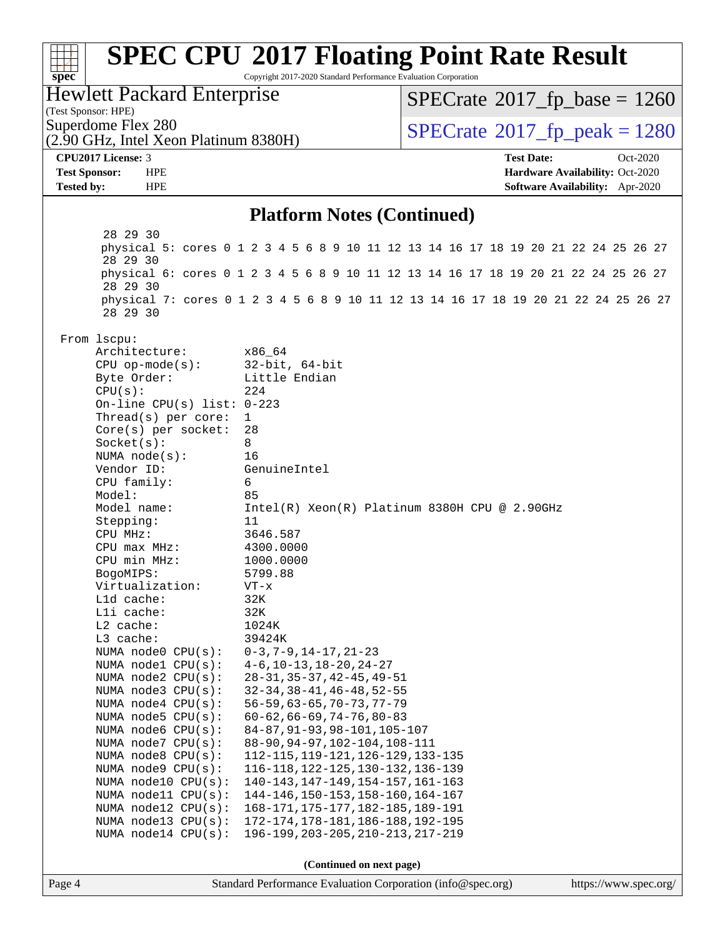| spec                                       | <b>SPEC CPU®2017 Floating Point Rate Result</b><br>Copyright 2017-2020 Standard Performance Evaluation Corporation |                                                 |                                 |  |  |  |  |  |  |
|--------------------------------------------|--------------------------------------------------------------------------------------------------------------------|-------------------------------------------------|---------------------------------|--|--|--|--|--|--|
| <b>Hewlett Packard Enterprise</b>          |                                                                                                                    | $SPECrate^{\circ}2017_fp\_base = 1260$          |                                 |  |  |  |  |  |  |
| (Test Sponsor: HPE)<br>Superdome Flex 280  |                                                                                                                    |                                                 |                                 |  |  |  |  |  |  |
| (2.90 GHz, Intel Xeon Platinum 8380H)      |                                                                                                                    | $SPECTate^{\circ}2017$ _fp_peak = 1280          |                                 |  |  |  |  |  |  |
| CPU2017 License: 3                         |                                                                                                                    | <b>Test Date:</b>                               | Oct-2020                        |  |  |  |  |  |  |
| <b>Test Sponsor:</b><br><b>HPE</b>         |                                                                                                                    |                                                 | Hardware Availability: Oct-2020 |  |  |  |  |  |  |
| <b>Tested by:</b><br><b>HPE</b>            |                                                                                                                    |                                                 | Software Availability: Apr-2020 |  |  |  |  |  |  |
| <b>Platform Notes (Continued)</b>          |                                                                                                                    |                                                 |                                 |  |  |  |  |  |  |
| 28 29 30                                   | physical 5: cores 0 1 2 3 4 5 6 8 9 10 11 12 13 14 16 17 18 19 20 21 22 24 25 26 27                                |                                                 |                                 |  |  |  |  |  |  |
| 28 29 30                                   | physical 6: cores 0 1 2 3 4 5 6 8 9 10 11 12 13 14 16 17 18 19 20 21 22 24 25 26 27                                |                                                 |                                 |  |  |  |  |  |  |
| 28 29 30                                   |                                                                                                                    |                                                 |                                 |  |  |  |  |  |  |
| 28 29 30                                   | physical 7: cores 0 1 2 3 4 5 6 8 9 10 11 12 13 14 16 17 18 19 20 21 22 24 25 26 27                                |                                                 |                                 |  |  |  |  |  |  |
| From lscpu:                                |                                                                                                                    |                                                 |                                 |  |  |  |  |  |  |
| Architecture:                              | x86_64                                                                                                             |                                                 |                                 |  |  |  |  |  |  |
| $CPU$ op-mode(s):<br>Byte Order:           | $32$ -bit, $64$ -bit<br>Little Endian                                                                              |                                                 |                                 |  |  |  |  |  |  |
| CPU(s):                                    | 224                                                                                                                |                                                 |                                 |  |  |  |  |  |  |
| On-line CPU(s) list: $0-223$               |                                                                                                                    |                                                 |                                 |  |  |  |  |  |  |
| Thread(s) per core:                        | 1                                                                                                                  |                                                 |                                 |  |  |  |  |  |  |
| Core(s) per socket:<br>Socket(s):          | 28<br>8                                                                                                            |                                                 |                                 |  |  |  |  |  |  |
| NUMA node(s):                              | 16                                                                                                                 |                                                 |                                 |  |  |  |  |  |  |
| Vendor ID:                                 | GenuineIntel                                                                                                       |                                                 |                                 |  |  |  |  |  |  |
| CPU family:                                | 6                                                                                                                  |                                                 |                                 |  |  |  |  |  |  |
| Model:                                     | 85                                                                                                                 |                                                 |                                 |  |  |  |  |  |  |
| Model name:<br>Stepping:                   | 11                                                                                                                 | $Intel(R) Xeon(R) Platinum 8380H CPU @ 2.90GHz$ |                                 |  |  |  |  |  |  |
| CPU MHz:                                   | 3646.587                                                                                                           |                                                 |                                 |  |  |  |  |  |  |
| CPU max MHz:                               | 4300.0000                                                                                                          |                                                 |                                 |  |  |  |  |  |  |
| CPU min MHz:                               | 1000.0000                                                                                                          |                                                 |                                 |  |  |  |  |  |  |
| BogoMIPS:                                  | 5799.88                                                                                                            |                                                 |                                 |  |  |  |  |  |  |
| Virtualization:<br>Lld cache:              | $VT - x$<br>32K                                                                                                    |                                                 |                                 |  |  |  |  |  |  |
| Lli cache:                                 | 32K                                                                                                                |                                                 |                                 |  |  |  |  |  |  |
| L2 cache:                                  | 1024K                                                                                                              |                                                 |                                 |  |  |  |  |  |  |
| L3 cache:                                  | 39424K                                                                                                             |                                                 |                                 |  |  |  |  |  |  |
| NUMA node0 CPU(s):                         | $0-3, 7-9, 14-17, 21-23$                                                                                           |                                                 |                                 |  |  |  |  |  |  |
| NUMA nodel CPU(s):<br>NUMA node2 CPU(s):   | $4-6$ , $10-13$ , $18-20$ , $24-27$<br>$28 - 31, 35 - 37, 42 - 45, 49 - 51$                                        |                                                 |                                 |  |  |  |  |  |  |
| NUMA $node3$ CPU $(s)$ :                   | $32 - 34, 38 - 41, 46 - 48, 52 - 55$                                                                               |                                                 |                                 |  |  |  |  |  |  |
| NUMA node4 CPU(s):                         | $56 - 59$ , $63 - 65$ , $70 - 73$ , $77 - 79$                                                                      |                                                 |                                 |  |  |  |  |  |  |
| NUMA node5 CPU(s):                         | $60 - 62, 66 - 69, 74 - 76, 80 - 83$                                                                               |                                                 |                                 |  |  |  |  |  |  |
| NUMA node6 CPU(s):                         | 84-87, 91-93, 98-101, 105-107                                                                                      |                                                 |                                 |  |  |  |  |  |  |
| NUMA node7 CPU(s):<br>NUMA node8 CPU(s):   | 88-90, 94-97, 102-104, 108-111                                                                                     |                                                 |                                 |  |  |  |  |  |  |
| NUMA node9 CPU(s):                         | 112-115, 119-121, 126-129, 133-135<br>116-118, 122-125, 130-132, 136-139                                           |                                                 |                                 |  |  |  |  |  |  |
| NUMA node10 CPU(s):                        | 140-143, 147-149, 154-157, 161-163                                                                                 |                                                 |                                 |  |  |  |  |  |  |
| NUMA node11 CPU(s):                        | 144-146, 150-153, 158-160, 164-167                                                                                 |                                                 |                                 |  |  |  |  |  |  |
| NUMA node12 CPU(s):                        | 168-171, 175-177, 182-185, 189-191                                                                                 |                                                 |                                 |  |  |  |  |  |  |
| NUMA node13 CPU(s):<br>NUMA node14 CPU(s): | 172-174, 178-181, 186-188, 192-195<br>196-199, 203-205, 210-213, 217-219                                           |                                                 |                                 |  |  |  |  |  |  |
|                                            | (Continued on next page)                                                                                           |                                                 |                                 |  |  |  |  |  |  |
|                                            |                                                                                                                    |                                                 |                                 |  |  |  |  |  |  |
| Page 4                                     | Standard Performance Evaluation Corporation (info@spec.org)                                                        |                                                 | https://www.spec.org/           |  |  |  |  |  |  |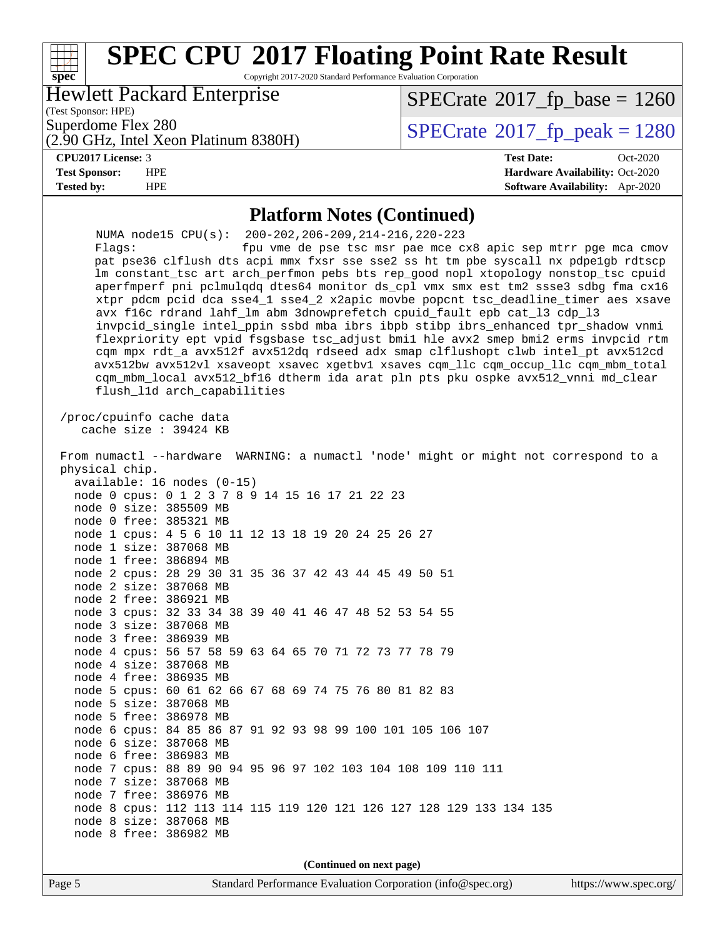#### **[spec](http://www.spec.org/) [SPEC CPU](http://www.spec.org/auto/cpu2017/Docs/result-fields.html#SPECCPU2017FloatingPointRateResult)[2017 Floating Point Rate Result](http://www.spec.org/auto/cpu2017/Docs/result-fields.html#SPECCPU2017FloatingPointRateResult)** Copyright 2017-2020 Standard Performance Evaluation Corporation (Test Sponsor: HPE) Hewlett Packard Enterprise (2.90 GHz, Intel Xeon Platinum 8380H) Superdome Flex 280<br> $\angle$  [SPECrate](http://www.spec.org/auto/cpu2017/Docs/result-fields.html#SPECrate2017fppeak)®[2017\\_fp\\_peak = 1](http://www.spec.org/auto/cpu2017/Docs/result-fields.html#SPECrate2017fppeak)280  $SPECTate$ <sup>®</sup>[2017\\_fp\\_base =](http://www.spec.org/auto/cpu2017/Docs/result-fields.html#SPECrate2017fpbase) 1260 **[CPU2017 License:](http://www.spec.org/auto/cpu2017/Docs/result-fields.html#CPU2017License)** 3 **[Test Date:](http://www.spec.org/auto/cpu2017/Docs/result-fields.html#TestDate)** Oct-2020 **[Test Sponsor:](http://www.spec.org/auto/cpu2017/Docs/result-fields.html#TestSponsor)** HPE **[Hardware Availability:](http://www.spec.org/auto/cpu2017/Docs/result-fields.html#HardwareAvailability)** Oct-2020 **[Tested by:](http://www.spec.org/auto/cpu2017/Docs/result-fields.html#Testedby)** HPE **[Software Availability:](http://www.spec.org/auto/cpu2017/Docs/result-fields.html#SoftwareAvailability)** Apr-2020 **[Platform Notes \(Continued\)](http://www.spec.org/auto/cpu2017/Docs/result-fields.html#PlatformNotes)** NUMA node15 CPU(s): 200-202,206-209,214-216,220-223 Flags: fpu vme de pse tsc msr pae mce cx8 apic sep mtrr pge mca cmov pat pse36 clflush dts acpi mmx fxsr sse sse2 ss ht tm pbe syscall nx pdpe1gb rdtscp lm constant\_tsc art arch\_perfmon pebs bts rep\_good nopl xtopology nonstop\_tsc cpuid aperfmperf pni pclmulqdq dtes64 monitor ds\_cpl vmx smx est tm2 ssse3 sdbg fma cx16 xtpr pdcm pcid dca sse4\_1 sse4\_2 x2apic movbe popcnt tsc\_deadline\_timer aes xsave avx f16c rdrand lahf\_lm abm 3dnowprefetch cpuid\_fault epb cat\_l3 cdp\_l3 invpcid\_single intel\_ppin ssbd mba ibrs ibpb stibp ibrs\_enhanced tpr\_shadow vnmi flexpriority ept vpid fsgsbase tsc\_adjust bmi1 hle avx2 smep bmi2 erms invpcid rtm cqm mpx rdt\_a avx512f avx512dq rdseed adx smap clflushopt clwb intel\_pt avx512cd avx512bw avx512vl xsaveopt xsavec xgetbv1 xsaves cqm\_llc cqm\_occup\_llc cqm\_mbm\_total cqm\_mbm\_local avx512\_bf16 dtherm ida arat pln pts pku ospke avx512\_vnni md\_clear flush\_l1d arch\_capabilities /proc/cpuinfo cache data cache size : 39424 KB From numactl --hardware WARNING: a numactl 'node' might or might not correspond to a physical chip. available: 16 nodes (0-15) node 0 cpus: 0 1 2 3 7 8 9 14 15 16 17 21 22 23 node 0 size: 385509 MB node 0 free: 385321 MB node 1 cpus: 4 5 6 10 11 12 13 18 19 20 24 25 26 27 node 1 size: 387068 MB node 1 free: 386894 MB node 2 cpus: 28 29 30 31 35 36 37 42 43 44 45 49 50 51 node 2 size: 387068 MB node 2 free: 386921 MB node 3 cpus: 32 33 34 38 39 40 41 46 47 48 52 53 54 55 node 3 size: 387068 MB node 3 free: 386939 MB node 4 cpus: 56 57 58 59 63 64 65 70 71 72 73 77 78 79 node 4 size: 387068 MB node 4 free: 386935 MB node 5 cpus: 60 61 62 66 67 68 69 74 75 76 80 81 82 83 node 5 size: 387068 MB node 5 free: 386978 MB node 6 cpus: 84 85 86 87 91 92 93 98 99 100 101 105 106 107 node 6 size: 387068 MB node 6 free: 386983 MB node 7 cpus: 88 89 90 94 95 96 97 102 103 104 108 109 110 111 node 7 size: 387068 MB node 7 free: 386976 MB node 8 cpus: 112 113 114 115 119 120 121 126 127 128 129 133 134 135 node 8 size: 387068 MB node 8 free: 386982 MB **(Continued on next page)**

Page 5 Standard Performance Evaluation Corporation [\(info@spec.org\)](mailto:info@spec.org) <https://www.spec.org/>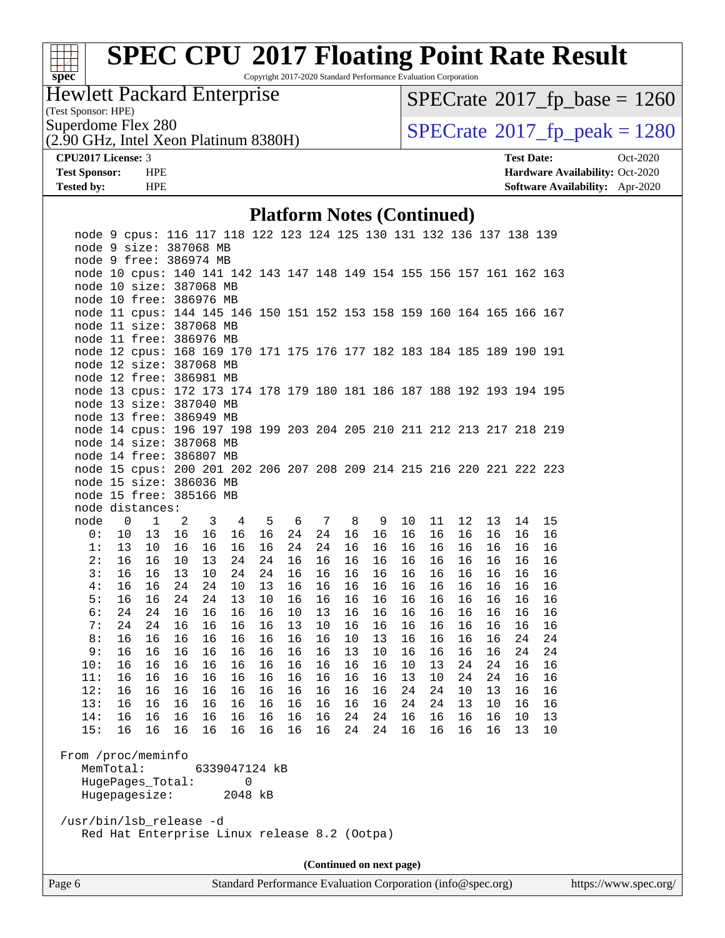

Copyright 2017-2020 Standard Performance Evaluation Corporation

Hewlett Packard Enterprise

(Test Sponsor: HPE)

 $SPECrate@2017_fp\_base = 1260$  $SPECrate@2017_fp\_base = 1260$ 

(2.90 GHz, Intel Xeon Platinum 8380H)

Superdome Flex 280<br>  $(2.90 \text{ GHz})$  Intel Xeon Platinum 8380H) [SPECrate](http://www.spec.org/auto/cpu2017/Docs/result-fields.html#SPECrate2017fppeak)®[2017\\_fp\\_peak = 1](http://www.spec.org/auto/cpu2017/Docs/result-fields.html#SPECrate2017fppeak)280

**[CPU2017 License:](http://www.spec.org/auto/cpu2017/Docs/result-fields.html#CPU2017License)** 3 **[Test Date:](http://www.spec.org/auto/cpu2017/Docs/result-fields.html#TestDate)** Oct-2020 **[Test Sponsor:](http://www.spec.org/auto/cpu2017/Docs/result-fields.html#TestSponsor)** HPE **[Hardware Availability:](http://www.spec.org/auto/cpu2017/Docs/result-fields.html#HardwareAvailability)** Oct-2020 **[Tested by:](http://www.spec.org/auto/cpu2017/Docs/result-fields.html#Testedby)** HPE **[Software Availability:](http://www.spec.org/auto/cpu2017/Docs/result-fields.html#SoftwareAvailability)** Apr-2020

#### **[Platform Notes \(Continued\)](http://www.spec.org/auto/cpu2017/Docs/result-fields.html#PlatformNotes)**

|                         |    | node 9 cpus: 116 117 118 122 123 124 125 130 131 132 136 137 138 139  |    |    |               |    |    |    |                          |    |    |    |    |    |    |    |
|-------------------------|----|-----------------------------------------------------------------------|----|----|---------------|----|----|----|--------------------------|----|----|----|----|----|----|----|
|                         |    | node 9 size: 387068 MB                                                |    |    |               |    |    |    |                          |    |    |    |    |    |    |    |
|                         |    | node 9 free: 386974 MB                                                |    |    |               |    |    |    |                          |    |    |    |    |    |    |    |
|                         |    | node 10 cpus: 140 141 142 143 147 148 149 154 155 156 157 161 162 163 |    |    |               |    |    |    |                          |    |    |    |    |    |    |    |
|                         |    | node 10 size: 387068 MB                                               |    |    |               |    |    |    |                          |    |    |    |    |    |    |    |
|                         |    | node 10 free: 386976 MB                                               |    |    |               |    |    |    |                          |    |    |    |    |    |    |    |
|                         |    | node 11 cpus: 144 145 146 150 151 152 153 158 159 160 164 165 166 167 |    |    |               |    |    |    |                          |    |    |    |    |    |    |    |
|                         |    | node 11 size: 387068 MB                                               |    |    |               |    |    |    |                          |    |    |    |    |    |    |    |
|                         |    | node 11 free: 386976 MB                                               |    |    |               |    |    |    |                          |    |    |    |    |    |    |    |
|                         |    | node 12 cpus: 168 169 170 171 175 176 177 182 183 184 185 189 190 191 |    |    |               |    |    |    |                          |    |    |    |    |    |    |    |
|                         |    | node 12 size: 387068 MB                                               |    |    |               |    |    |    |                          |    |    |    |    |    |    |    |
|                         |    | node 12 free: 386981 MB                                               |    |    |               |    |    |    |                          |    |    |    |    |    |    |    |
|                         |    | node 13 cpus: 172 173 174 178 179 180 181 186 187 188 192 193 194 195 |    |    |               |    |    |    |                          |    |    |    |    |    |    |    |
|                         |    | node 13 size: 387040 MB                                               |    |    |               |    |    |    |                          |    |    |    |    |    |    |    |
|                         |    | node 13 free: 386949 MB                                               |    |    |               |    |    |    |                          |    |    |    |    |    |    |    |
|                         |    | node 14 cpus: 196 197 198 199 203 204 205 210 211 212 213 217 218 219 |    |    |               |    |    |    |                          |    |    |    |    |    |    |    |
|                         |    | node 14 size: 387068 MB                                               |    |    |               |    |    |    |                          |    |    |    |    |    |    |    |
|                         |    | node 14 free: 386807 MB                                               |    |    |               |    |    |    |                          |    |    |    |    |    |    |    |
|                         |    | node 15 cpus: 200 201 202 206 207 208 209 214 215 216 220 221 222 223 |    |    |               |    |    |    |                          |    |    |    |    |    |    |    |
|                         |    | node 15 size: 386036 MB                                               |    |    |               |    |    |    |                          |    |    |    |    |    |    |    |
|                         |    | node 15 free: 385166 MB                                               |    |    |               |    |    |    |                          |    |    |    |    |    |    |    |
|                         |    | node distances:                                                       |    |    |               |    |    |    |                          |    |    |    |    |    |    |    |
| node                    | 0  | $\mathbf{1}$                                                          | 2  | 3  | 4             | 5  | 6  | 7  | 8                        | 9  | 10 | 11 | 12 | 13 | 14 | 15 |
| 0:                      | 10 | 13                                                                    | 16 | 16 | 16            | 16 | 24 | 24 | 16                       | 16 | 16 | 16 | 16 | 16 | 16 | 16 |
| 1:                      | 13 | 10                                                                    | 16 | 16 | 16            | 16 | 24 | 24 | 16                       | 16 | 16 | 16 | 16 | 16 | 16 | 16 |
| 2:                      | 16 | 16                                                                    | 10 | 13 |               | 24 | 16 | 16 | 16                       | 16 | 16 | 16 | 16 | 16 | 16 |    |
|                         |    |                                                                       |    |    | 24            |    |    |    |                          |    |    |    |    |    |    | 16 |
| 3:                      | 16 | 16                                                                    | 13 | 10 | 24            | 24 | 16 | 16 | 16                       | 16 | 16 | 16 | 16 | 16 | 16 | 16 |
| 4:                      | 16 | 16                                                                    | 24 | 24 | 10            | 13 | 16 | 16 | 16                       | 16 | 16 | 16 | 16 | 16 | 16 | 16 |
| 5:                      | 16 | 16                                                                    | 24 | 24 | 13            | 10 | 16 | 16 | 16                       | 16 | 16 | 16 | 16 | 16 | 16 | 16 |
| 6:                      | 24 | 24                                                                    | 16 | 16 | 16            | 16 | 10 | 13 | 16                       | 16 | 16 | 16 | 16 | 16 | 16 | 16 |
| 7:                      | 24 | 24                                                                    | 16 | 16 | 16            | 16 | 13 | 10 | 16                       | 16 | 16 | 16 | 16 | 16 | 16 | 16 |
| 8:                      | 16 | 16                                                                    | 16 | 16 | 16            | 16 | 16 | 16 | 10                       | 13 | 16 | 16 | 16 | 16 | 24 | 24 |
| 9:                      | 16 | 16                                                                    | 16 | 16 | 16            | 16 | 16 | 16 | 13                       | 10 | 16 | 16 | 16 | 16 | 24 | 24 |
| 10:                     | 16 | 16                                                                    | 16 | 16 | 16            | 16 | 16 | 16 | 16                       | 16 | 10 | 13 | 24 | 24 | 16 | 16 |
| 11:                     | 16 | 16                                                                    | 16 | 16 | 16            | 16 | 16 | 16 | 16                       | 16 | 13 | 10 | 24 | 24 | 16 | 16 |
| 12:                     | 16 | 16                                                                    | 16 | 16 | 16            | 16 | 16 | 16 | 16                       | 16 | 24 | 24 | 10 | 13 | 16 | 16 |
| 13:                     | 16 | 16                                                                    | 16 | 16 | 16            | 16 | 16 | 16 | 16                       | 16 | 24 | 24 | 13 | 10 | 16 | 16 |
| 14:                     | 16 | 16                                                                    | 16 | 16 | 16            | 16 | 16 | 16 | 24                       | 24 | 16 | 16 | 16 | 16 | 10 | 13 |
| 15:                     | 16 | 16                                                                    | 16 | 16 | 16            | 16 | 16 | 16 | 24                       | 24 | 16 | 16 | 16 | 16 | 13 | 10 |
|                         |    |                                                                       |    |    |               |    |    |    |                          |    |    |    |    |    |    |    |
| From /proc/meminfo      |    |                                                                       |    |    |               |    |    |    |                          |    |    |    |    |    |    |    |
| MemTotal:               |    |                                                                       |    |    | 6339047124 kB |    |    |    |                          |    |    |    |    |    |    |    |
|                         |    | HugePages_Total:                                                      |    |    | $\Omega$      |    |    |    |                          |    |    |    |    |    |    |    |
|                         |    | Hugepagesize:                                                         |    |    | 2048 kB       |    |    |    |                          |    |    |    |    |    |    |    |
|                         |    |                                                                       |    |    |               |    |    |    |                          |    |    |    |    |    |    |    |
| /usr/bin/lsb_release -d |    |                                                                       |    |    |               |    |    |    |                          |    |    |    |    |    |    |    |
|                         |    | Red Hat Enterprise Linux release 8.2 (Ootpa)                          |    |    |               |    |    |    |                          |    |    |    |    |    |    |    |
|                         |    |                                                                       |    |    |               |    |    |    |                          |    |    |    |    |    |    |    |
|                         |    |                                                                       |    |    |               |    |    |    | (Continued on next page) |    |    |    |    |    |    |    |
|                         |    |                                                                       |    |    |               |    |    |    |                          |    |    |    |    |    |    |    |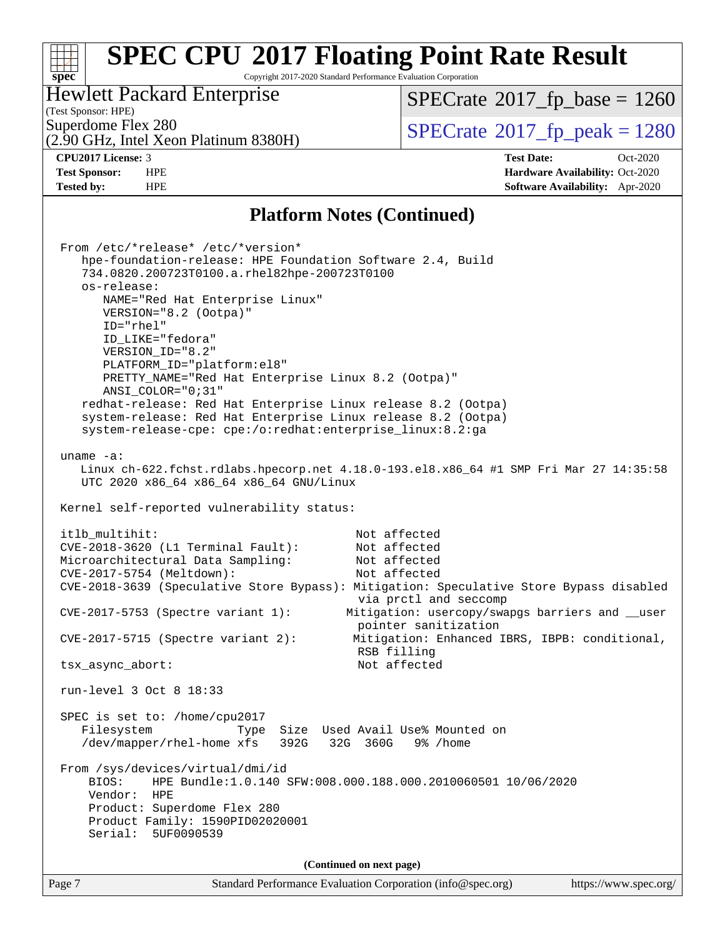#### **[SPEC CPU](http://www.spec.org/auto/cpu2017/Docs/result-fields.html#SPECCPU2017FloatingPointRateResult)[2017 Floating Point Rate Result](http://www.spec.org/auto/cpu2017/Docs/result-fields.html#SPECCPU2017FloatingPointRateResult)**  $+\ +$ **[spec](http://www.spec.org/)** Copyright 2017-2020 Standard Performance Evaluation Corporation Hewlett Packard Enterprise [SPECrate](http://www.spec.org/auto/cpu2017/Docs/result-fields.html#SPECrate2017fpbase)<sup>®</sup>2017 fp base = 1260 (Test Sponsor: HPE) Superdome Flex 280<br>  $\overline{SPECrate}$  $\overline{SPECrate}$  $\overline{SPECrate}$ <sup>®</sup>[2017\\_fp\\_peak = 1](http://www.spec.org/auto/cpu2017/Docs/result-fields.html#SPECrate2017fppeak)280 (2.90 GHz, Intel Xeon Platinum 8380H) **[CPU2017 License:](http://www.spec.org/auto/cpu2017/Docs/result-fields.html#CPU2017License)** 3 **[Test Date:](http://www.spec.org/auto/cpu2017/Docs/result-fields.html#TestDate)** Oct-2020 **[Test Sponsor:](http://www.spec.org/auto/cpu2017/Docs/result-fields.html#TestSponsor)** HPE **[Hardware Availability:](http://www.spec.org/auto/cpu2017/Docs/result-fields.html#HardwareAvailability)** Oct-2020 **[Tested by:](http://www.spec.org/auto/cpu2017/Docs/result-fields.html#Testedby)** HPE **[Software Availability:](http://www.spec.org/auto/cpu2017/Docs/result-fields.html#SoftwareAvailability)** Apr-2020 **[Platform Notes \(Continued\)](http://www.spec.org/auto/cpu2017/Docs/result-fields.html#PlatformNotes)** From /etc/\*release\* /etc/\*version\* hpe-foundation-release: HPE Foundation Software 2.4, Build 734.0820.200723T0100.a.rhel82hpe-200723T0100 os-release: NAME="Red Hat Enterprise Linux" VERSION="8.2 (Ootpa)" ID="rhel" ID\_LIKE="fedora" VERSION\_ID="8.2" PLATFORM\_ID="platform:el8" PRETTY\_NAME="Red Hat Enterprise Linux 8.2 (Ootpa)" ANSI\_COLOR="0;31" redhat-release: Red Hat Enterprise Linux release 8.2 (Ootpa) system-release: Red Hat Enterprise Linux release 8.2 (Ootpa) system-release-cpe: cpe:/o:redhat:enterprise\_linux:8.2:ga uname -a: Linux ch-622.fchst.rdlabs.hpecorp.net 4.18.0-193.el8.x86\_64 #1 SMP Fri Mar 27 14:35:58 UTC 2020 x86\_64 x86\_64 x86\_64 GNU/Linux Kernel self-reported vulnerability status: itlb multihit: Not affected CVE-2018-3620 (L1 Terminal Fault): Not affected Microarchitectural Data Sampling: Not affected CVE-2017-5754 (Meltdown): Not affected CVE-2018-3639 (Speculative Store Bypass): Mitigation: Speculative Store Bypass disabled via prctl and seccomp CVE-2017-5753 (Spectre variant 1): Mitigation: usercopy/swapgs barriers and \_\_user pointer sanitization CVE-2017-5715 (Spectre variant 2): Mitigation: Enhanced IBRS, IBPB: conditional, RSB filling tsx\_async\_abort: Not affected

run-level 3 Oct 8 18:33

 SPEC is set to: /home/cpu2017 Filesystem Type Size Used Avail Use% Mounted on /dev/mapper/rhel-home xfs 392G 32G 360G 9% /home

 From /sys/devices/virtual/dmi/id BIOS: HPE Bundle:1.0.140 SFW:008.000.188.000.2010060501 10/06/2020 Vendor: HPE Product: Superdome Flex 280 Product Family: 1590PID02020001 Serial: 5UF0090539

**(Continued on next page)**

| Page 7<br>Standard Performance Evaluation Corporation (info@spec.org) | https://www.spec.org/ |
|-----------------------------------------------------------------------|-----------------------|
|-----------------------------------------------------------------------|-----------------------|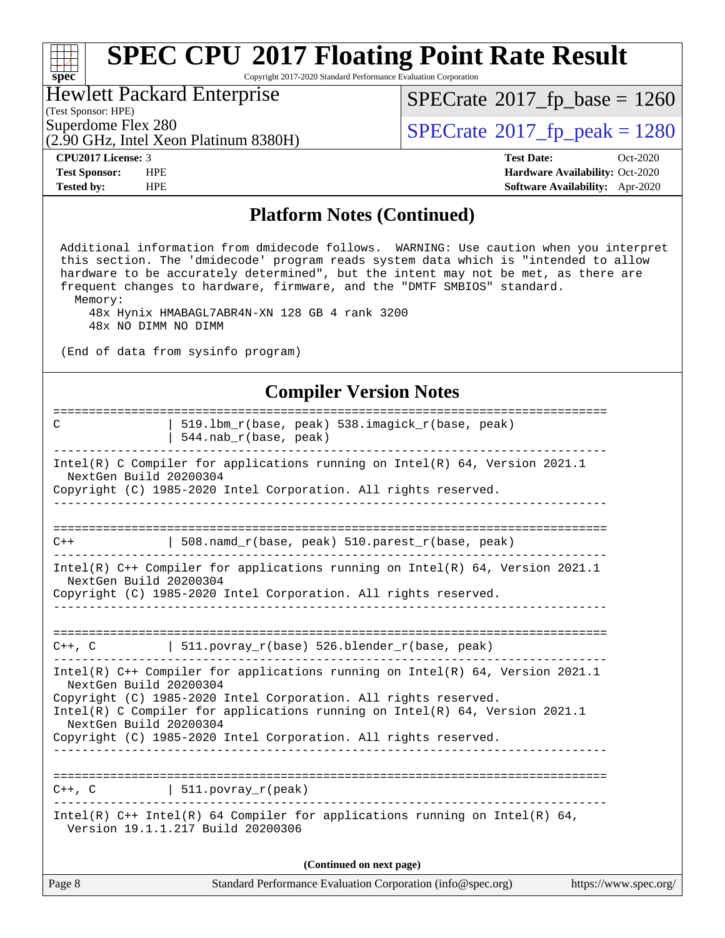| <b>SPEC CPU®2017 Floating Point Rate Result</b><br>Copyright 2017-2020 Standard Performance Evaluation Corporation<br>$spec^*$                                                                                                                                                                                                                                                                                                    |                                                                                                     |  |  |  |  |  |
|-----------------------------------------------------------------------------------------------------------------------------------------------------------------------------------------------------------------------------------------------------------------------------------------------------------------------------------------------------------------------------------------------------------------------------------|-----------------------------------------------------------------------------------------------------|--|--|--|--|--|
| <b>Hewlett Packard Enterprise</b><br>(Test Sponsor: HPE)                                                                                                                                                                                                                                                                                                                                                                          | $SPECrate^{\circ}2017_fp\_base = 1260$                                                              |  |  |  |  |  |
| Superdome Flex 280<br>(2.90 GHz, Intel Xeon Platinum 8380H)                                                                                                                                                                                                                                                                                                                                                                       | $SPECTate^{\circ}2017$ _fp_peak = 1280                                                              |  |  |  |  |  |
| <b>CPU2017 License: 3</b><br><b>Test Sponsor:</b><br><b>HPE</b><br><b>Tested by:</b><br><b>HPE</b>                                                                                                                                                                                                                                                                                                                                | <b>Test Date:</b><br>Oct-2020<br>Hardware Availability: Oct-2020<br>Software Availability: Apr-2020 |  |  |  |  |  |
| <b>Platform Notes (Continued)</b>                                                                                                                                                                                                                                                                                                                                                                                                 |                                                                                                     |  |  |  |  |  |
| Additional information from dmidecode follows. WARNING: Use caution when you interpret<br>this section. The 'dmidecode' program reads system data which is "intended to allow<br>hardware to be accurately determined", but the intent may not be met, as there are<br>frequent changes to hardware, firmware, and the "DMTF SMBIOS" standard.<br>Memory:<br>48x Hynix HMABAGL7ABR4N-XN 128 GB 4 rank 3200<br>48x NO DIMM NO DIMM |                                                                                                     |  |  |  |  |  |
| (End of data from sysinfo program)                                                                                                                                                                                                                                                                                                                                                                                                |                                                                                                     |  |  |  |  |  |
| <b>Compiler Version Notes</b>                                                                                                                                                                                                                                                                                                                                                                                                     |                                                                                                     |  |  |  |  |  |
| 519.1bm_r(base, peak) 538.imagick_r(base, peak)<br>C<br>544.nab_r(base, peak)                                                                                                                                                                                                                                                                                                                                                     |                                                                                                     |  |  |  |  |  |
| Intel(R) C Compiler for applications running on Intel(R) 64, Version 2021.1<br>NextGen Build 20200304<br>Copyright (C) 1985-2020 Intel Corporation. All rights reserved.                                                                                                                                                                                                                                                          |                                                                                                     |  |  |  |  |  |
| 508.namd_r(base, peak) 510.parest_r(base, peak)<br>$C++$                                                                                                                                                                                                                                                                                                                                                                          |                                                                                                     |  |  |  |  |  |
| Intel(R) C++ Compiler for applications running on Intel(R) 64, Version 2021.1<br>NextGen Build 20200304<br>Copyright (C) 1985-2020 Intel Corporation. All rights reserved.                                                                                                                                                                                                                                                        |                                                                                                     |  |  |  |  |  |
| $C++$ , C $\qquad \qquad$ 511.povray_r(base) 526.blender_r(base, peak)                                                                                                                                                                                                                                                                                                                                                            |                                                                                                     |  |  |  |  |  |
| Intel(R) $C++$ Compiler for applications running on Intel(R) 64, Version 2021.1<br>NextGen Build 20200304<br>Copyright (C) 1985-2020 Intel Corporation. All rights reserved.<br>Intel(R) C Compiler for applications running on Intel(R) 64, Version 2021.1<br>NextGen Build 20200304                                                                                                                                             |                                                                                                     |  |  |  |  |  |

Page 8 Standard Performance Evaluation Corporation [\(info@spec.org\)](mailto:info@spec.org) <https://www.spec.org/> **(Continued on next page)**

==============================================================================

------------------------------------------------------------------------------ Intel(R) C++ Intel(R) 64 Compiler for applications running on Intel(R) 64,

------------------------------------------------------------------------------

Copyright (C) 1985-2020 Intel Corporation. All rights reserved.

 $C++$ ,  $C$  | 511.povray\_r(peak)

Version 19.1.1.217 Build 20200306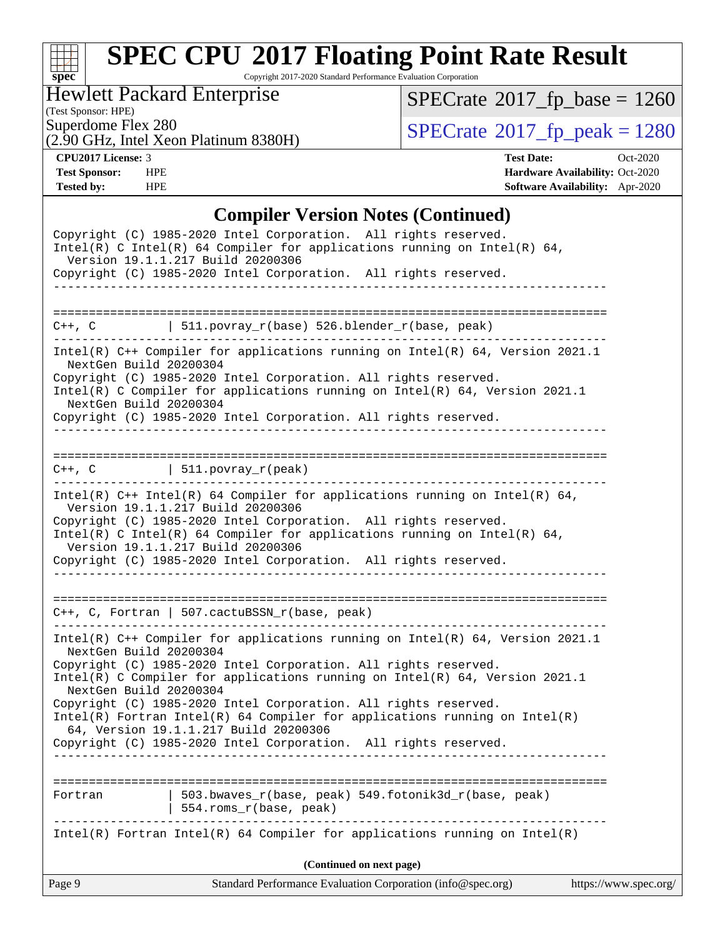

Copyright 2017-2020 Standard Performance Evaluation Corporation

Hewlett Packard Enterprise

(2.90 GHz, Intel Xeon Platinum 8380H)

 $SPECrate@2017_fp\_base = 1260$  $SPECrate@2017_fp\_base = 1260$ 

(Test Sponsor: HPE)

 $SPECTate@2017_fp\_peak = 1280$ 

**[CPU2017 License:](http://www.spec.org/auto/cpu2017/Docs/result-fields.html#CPU2017License)** 3 **[Test Date:](http://www.spec.org/auto/cpu2017/Docs/result-fields.html#TestDate)** Oct-2020 **[Test Sponsor:](http://www.spec.org/auto/cpu2017/Docs/result-fields.html#TestSponsor)** HPE **[Hardware Availability:](http://www.spec.org/auto/cpu2017/Docs/result-fields.html#HardwareAvailability)** Oct-2020 **[Tested by:](http://www.spec.org/auto/cpu2017/Docs/result-fields.html#Testedby)** HPE **[Software Availability:](http://www.spec.org/auto/cpu2017/Docs/result-fields.html#SoftwareAvailability)** Apr-2020

### **[Compiler Version Notes \(Continued\)](http://www.spec.org/auto/cpu2017/Docs/result-fields.html#CompilerVersionNotes)**

| Page 9                 | Standard Performance Evaluation Corporation (info@spec.org)                                                                                                                                                                                                                                                                                                              | https://www.spec.org/ |
|------------------------|--------------------------------------------------------------------------------------------------------------------------------------------------------------------------------------------------------------------------------------------------------------------------------------------------------------------------------------------------------------------------|-----------------------|
|                        | (Continued on next page)                                                                                                                                                                                                                                                                                                                                                 |                       |
|                        | $Intel(R)$ Fortran Intel(R) 64 Compiler for applications running on Intel(R)                                                                                                                                                                                                                                                                                             |                       |
| Fortran                | 503.bwaves_r(base, peak) 549.fotonik3d_r(base, peak)<br>554.roms_r(base, peak)                                                                                                                                                                                                                                                                                           |                       |
| ===============        |                                                                                                                                                                                                                                                                                                                                                                          |                       |
| NextGen Build 20200304 | Intel(R) C Compiler for applications running on $Intel(R) 64$ , Version 2021.1<br>Copyright (C) 1985-2020 Intel Corporation. All rights reserved.<br>$Intel(R)$ Fortran Intel(R) 64 Compiler for applications running on Intel(R)<br>64, Version 19.1.1.217 Build 20200306<br>Copyright (C) 1985-2020 Intel Corporation. All rights reserved.                            |                       |
| NextGen Build 20200304 | Intel(R) $C++$ Compiler for applications running on Intel(R) 64, Version 2021.1<br>Copyright (C) 1985-2020 Intel Corporation. All rights reserved.                                                                                                                                                                                                                       |                       |
|                        | C++, C, Fortran   507.cactuBSSN_r(base, peak)                                                                                                                                                                                                                                                                                                                            |                       |
|                        | Intel(R) $C++$ Intel(R) 64 Compiler for applications running on Intel(R) 64,<br>Version 19.1.1.217 Build 20200306<br>Copyright (C) 1985-2020 Intel Corporation. All rights reserved.<br>Intel(R) C Intel(R) 64 Compiler for applications running on Intel(R) 64,<br>Version 19.1.1.217 Build 20200306<br>Copyright (C) 1985-2020 Intel Corporation. All rights reserved. |                       |
|                        | $C++$ , C $\qquad \qquad \vert$ 511.povray_r(peak)                                                                                                                                                                                                                                                                                                                       |                       |
| NextGen Build 20200304 | Intel(R) C Compiler for applications running on $Intel(R) 64$ , Version 2021.1<br>Copyright (C) 1985-2020 Intel Corporation. All rights reserved.                                                                                                                                                                                                                        |                       |
| NextGen Build 20200304 | Intel(R) $C++$ Compiler for applications running on Intel(R) 64, Version 2021.1<br>Copyright (C) 1985-2020 Intel Corporation. All rights reserved.                                                                                                                                                                                                                       |                       |
|                        | $C++$ , C $\vert$ 511.povray_r(base) 526.blender_r(base, peak)                                                                                                                                                                                                                                                                                                           |                       |
|                        | Copyright (C) 1985-2020 Intel Corporation. All rights reserved.                                                                                                                                                                                                                                                                                                          |                       |
|                        | Copyright (C) 1985-2020 Intel Corporation. All rights reserved.<br>Intel(R) C Intel(R) 64 Compiler for applications running on Intel(R) 64,<br>Version 19.1.1.217 Build 20200306                                                                                                                                                                                         |                       |
|                        |                                                                                                                                                                                                                                                                                                                                                                          |                       |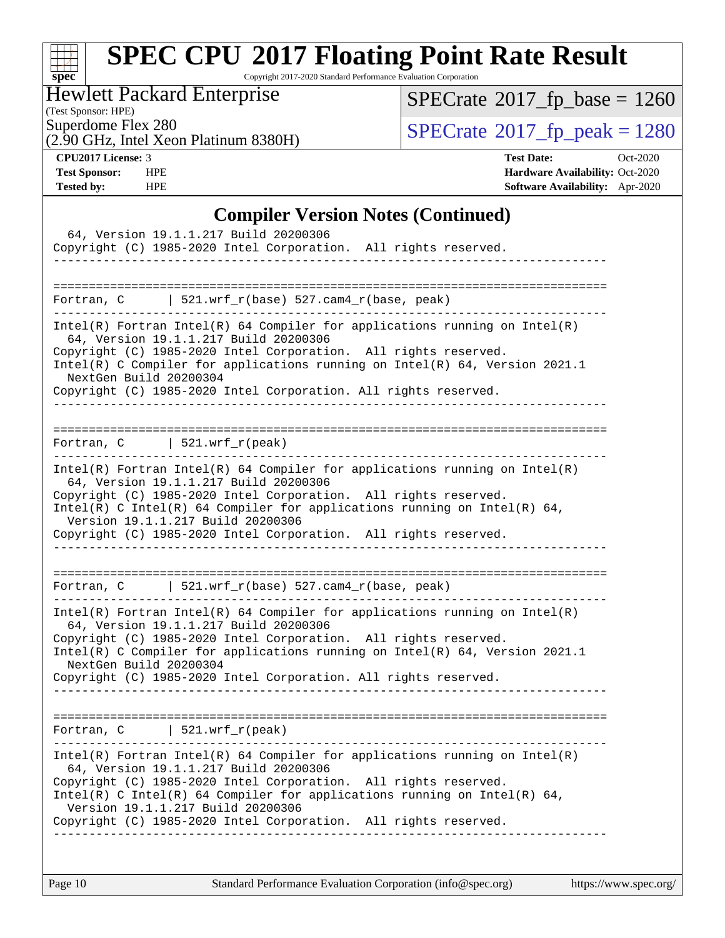

Copyright 2017-2020 Standard Performance Evaluation Corporation

## Hewlett Packard Enterprise

(Test Sponsor: HPE)

 $SPECrate@2017_fp\_base = 1260$  $SPECrate@2017_fp\_base = 1260$ 

(2.90 GHz, Intel Xeon Platinum 8380H)

Superdome Flex 280<br>  $(2.90 \text{ GHz})$  Intel Xeon Platinum 8380H) [SPECrate](http://www.spec.org/auto/cpu2017/Docs/result-fields.html#SPECrate2017fppeak)®[2017\\_fp\\_peak = 1](http://www.spec.org/auto/cpu2017/Docs/result-fields.html#SPECrate2017fppeak)280

**[CPU2017 License:](http://www.spec.org/auto/cpu2017/Docs/result-fields.html#CPU2017License)** 3 **[Test Date:](http://www.spec.org/auto/cpu2017/Docs/result-fields.html#TestDate)** Oct-2020 **[Test Sponsor:](http://www.spec.org/auto/cpu2017/Docs/result-fields.html#TestSponsor)** HPE **[Hardware Availability:](http://www.spec.org/auto/cpu2017/Docs/result-fields.html#HardwareAvailability)** Oct-2020 **[Tested by:](http://www.spec.org/auto/cpu2017/Docs/result-fields.html#Testedby)** HPE **[Software Availability:](http://www.spec.org/auto/cpu2017/Docs/result-fields.html#SoftwareAvailability)** Apr-2020

#### **[Compiler Version Notes \(Continued\)](http://www.spec.org/auto/cpu2017/Docs/result-fields.html#CompilerVersionNotes)**

| 64, Version 19.1.1.217 Build 20200306<br>Copyright (C) 1985-2020 Intel Corporation. All rights reserved.                                                                               |
|----------------------------------------------------------------------------------------------------------------------------------------------------------------------------------------|
|                                                                                                                                                                                        |
| 521.wrf_r(base) 527.cam4_r(base, peak)<br>Fortran, C                                                                                                                                   |
| Intel(R) Fortran Intel(R) 64 Compiler for applications running on Intel(R)<br>64, Version 19.1.1.217 Build 20200306<br>Copyright (C) 1985-2020 Intel Corporation. All rights reserved. |
| Intel(R) C Compiler for applications running on Intel(R) 64, Version 2021.1<br>NextGen Build 20200304                                                                                  |
| Copyright (C) 1985-2020 Intel Corporation. All rights reserved.                                                                                                                        |
|                                                                                                                                                                                        |
| Fortran, $C$   521.wrf_r(peak)                                                                                                                                                         |
| $Intel(R)$ Fortran Intel(R) 64 Compiler for applications running on Intel(R)<br>64, Version 19.1.1.217 Build 20200306                                                                  |
| Copyright (C) 1985-2020 Intel Corporation. All rights reserved.<br>Intel(R) C Intel(R) 64 Compiler for applications running on Intel(R) 64,                                            |
| Version 19.1.1.217 Build 20200306<br>Copyright (C) 1985-2020 Intel Corporation. All rights reserved.                                                                                   |
|                                                                                                                                                                                        |
| Fortran, $C$   521.wrf_r(base) 527.cam4_r(base, peak)                                                                                                                                  |
| $Intel(R)$ Fortran Intel(R) 64 Compiler for applications running on Intel(R)<br>64, Version 19.1.1.217 Build 20200306                                                                  |
| Copyright (C) 1985-2020 Intel Corporation. All rights reserved.                                                                                                                        |
| Intel(R) C Compiler for applications running on Intel(R) 64, Version 2021.1<br>NextGen Build 20200304                                                                                  |
| Copyright (C) 1985-2020 Intel Corporation. All rights reserved.                                                                                                                        |
|                                                                                                                                                                                        |
| Fortran, $C$   521.wrf_r(peak)                                                                                                                                                         |
| Intel(R) Fortran Intel(R) 64 Compiler for applications running on Intel(R)<br>64, Version 19.1.1.217 Build 20200306                                                                    |
| Copyright (C) 1985-2020 Intel Corporation. All rights reserved.<br>Intel(R) C Intel(R) 64 Compiler for applications running on Intel(R) 64,<br>Version 19.1.1.217 Build 20200306       |
| Copyright (C) 1985-2020 Intel Corporation. All rights reserved.<br>------------------                                                                                                  |
|                                                                                                                                                                                        |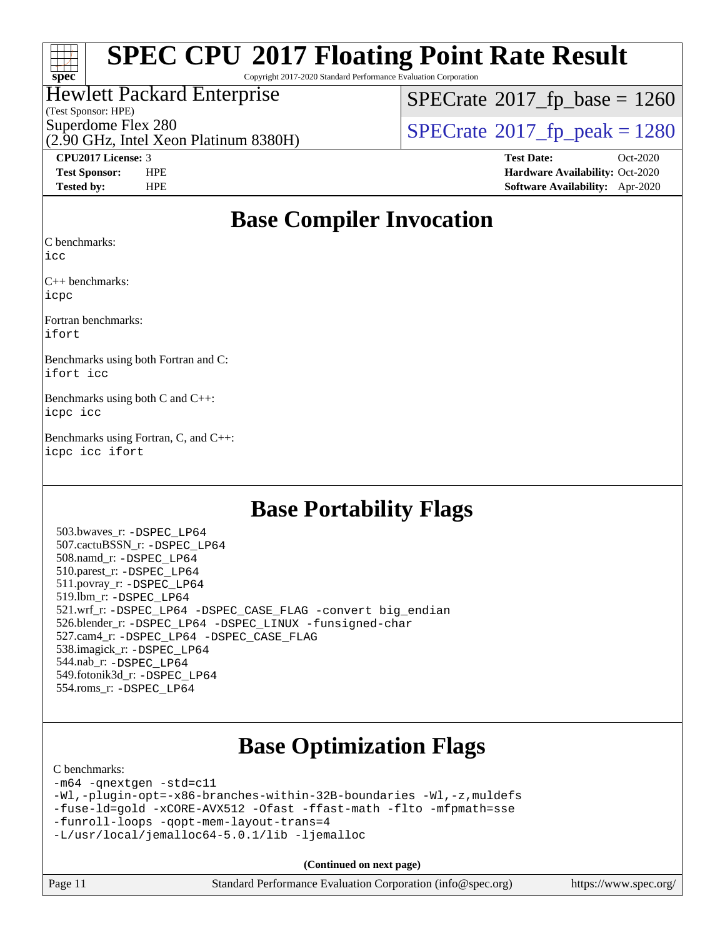

Copyright 2017-2020 Standard Performance Evaluation Corporation

### Hewlett Packard Enterprise

(Test Sponsor: HPE)

 $SPECTate$ <sup>®</sup>[2017\\_fp\\_base =](http://www.spec.org/auto/cpu2017/Docs/result-fields.html#SPECrate2017fpbase) 1260

(2.90 GHz, Intel Xeon Platinum 8380H)

Superdome Flex 280<br>  $\angle$  [SPECrate](http://www.spec.org/auto/cpu2017/Docs/result-fields.html#SPECrate2017fppeak)®[2017\\_fp\\_peak = 1](http://www.spec.org/auto/cpu2017/Docs/result-fields.html#SPECrate2017fppeak)280<br>  $\angle$  SPECrate®2017\_fp\_peak = 1280

**[CPU2017 License:](http://www.spec.org/auto/cpu2017/Docs/result-fields.html#CPU2017License)** 3 **[Test Date:](http://www.spec.org/auto/cpu2017/Docs/result-fields.html#TestDate)** Oct-2020 **[Test Sponsor:](http://www.spec.org/auto/cpu2017/Docs/result-fields.html#TestSponsor)** HPE **[Hardware Availability:](http://www.spec.org/auto/cpu2017/Docs/result-fields.html#HardwareAvailability)** Oct-2020 **[Tested by:](http://www.spec.org/auto/cpu2017/Docs/result-fields.html#Testedby)** HPE **[Software Availability:](http://www.spec.org/auto/cpu2017/Docs/result-fields.html#SoftwareAvailability)** Apr-2020

## **[Base Compiler Invocation](http://www.spec.org/auto/cpu2017/Docs/result-fields.html#BaseCompilerInvocation)**

[C benchmarks](http://www.spec.org/auto/cpu2017/Docs/result-fields.html#Cbenchmarks):

[icc](http://www.spec.org/cpu2017/results/res2020q4/cpu2017-20201012-24157.flags.html#user_CCbase_intel_icc_66fc1ee009f7361af1fbd72ca7dcefbb700085f36577c54f309893dd4ec40d12360134090235512931783d35fd58c0460139e722d5067c5574d8eaf2b3e37e92)

[C++ benchmarks](http://www.spec.org/auto/cpu2017/Docs/result-fields.html#CXXbenchmarks): [icpc](http://www.spec.org/cpu2017/results/res2020q4/cpu2017-20201012-24157.flags.html#user_CXXbase_intel_icpc_c510b6838c7f56d33e37e94d029a35b4a7bccf4766a728ee175e80a419847e808290a9b78be685c44ab727ea267ec2f070ec5dc83b407c0218cded6866a35d07)

[Fortran benchmarks:](http://www.spec.org/auto/cpu2017/Docs/result-fields.html#Fortranbenchmarks) [ifort](http://www.spec.org/cpu2017/results/res2020q4/cpu2017-20201012-24157.flags.html#user_FCbase_intel_ifort_8111460550e3ca792625aed983ce982f94888b8b503583aa7ba2b8303487b4d8a21a13e7191a45c5fd58ff318f48f9492884d4413fa793fd88dd292cad7027ca)

[Benchmarks using both Fortran and C](http://www.spec.org/auto/cpu2017/Docs/result-fields.html#BenchmarksusingbothFortranandC): [ifort](http://www.spec.org/cpu2017/results/res2020q4/cpu2017-20201012-24157.flags.html#user_CC_FCbase_intel_ifort_8111460550e3ca792625aed983ce982f94888b8b503583aa7ba2b8303487b4d8a21a13e7191a45c5fd58ff318f48f9492884d4413fa793fd88dd292cad7027ca) [icc](http://www.spec.org/cpu2017/results/res2020q4/cpu2017-20201012-24157.flags.html#user_CC_FCbase_intel_icc_66fc1ee009f7361af1fbd72ca7dcefbb700085f36577c54f309893dd4ec40d12360134090235512931783d35fd58c0460139e722d5067c5574d8eaf2b3e37e92)

[Benchmarks using both C and C++:](http://www.spec.org/auto/cpu2017/Docs/result-fields.html#BenchmarksusingbothCandCXX) [icpc](http://www.spec.org/cpu2017/results/res2020q4/cpu2017-20201012-24157.flags.html#user_CC_CXXbase_intel_icpc_c510b6838c7f56d33e37e94d029a35b4a7bccf4766a728ee175e80a419847e808290a9b78be685c44ab727ea267ec2f070ec5dc83b407c0218cded6866a35d07) [icc](http://www.spec.org/cpu2017/results/res2020q4/cpu2017-20201012-24157.flags.html#user_CC_CXXbase_intel_icc_66fc1ee009f7361af1fbd72ca7dcefbb700085f36577c54f309893dd4ec40d12360134090235512931783d35fd58c0460139e722d5067c5574d8eaf2b3e37e92)

[Benchmarks using Fortran, C, and C++](http://www.spec.org/auto/cpu2017/Docs/result-fields.html#BenchmarksusingFortranCandCXX): [icpc](http://www.spec.org/cpu2017/results/res2020q4/cpu2017-20201012-24157.flags.html#user_CC_CXX_FCbase_intel_icpc_c510b6838c7f56d33e37e94d029a35b4a7bccf4766a728ee175e80a419847e808290a9b78be685c44ab727ea267ec2f070ec5dc83b407c0218cded6866a35d07) [icc](http://www.spec.org/cpu2017/results/res2020q4/cpu2017-20201012-24157.flags.html#user_CC_CXX_FCbase_intel_icc_66fc1ee009f7361af1fbd72ca7dcefbb700085f36577c54f309893dd4ec40d12360134090235512931783d35fd58c0460139e722d5067c5574d8eaf2b3e37e92) [ifort](http://www.spec.org/cpu2017/results/res2020q4/cpu2017-20201012-24157.flags.html#user_CC_CXX_FCbase_intel_ifort_8111460550e3ca792625aed983ce982f94888b8b503583aa7ba2b8303487b4d8a21a13e7191a45c5fd58ff318f48f9492884d4413fa793fd88dd292cad7027ca)

## **[Base Portability Flags](http://www.spec.org/auto/cpu2017/Docs/result-fields.html#BasePortabilityFlags)**

 503.bwaves\_r: [-DSPEC\\_LP64](http://www.spec.org/cpu2017/results/res2020q4/cpu2017-20201012-24157.flags.html#suite_basePORTABILITY503_bwaves_r_DSPEC_LP64) 507.cactuBSSN\_r: [-DSPEC\\_LP64](http://www.spec.org/cpu2017/results/res2020q4/cpu2017-20201012-24157.flags.html#suite_basePORTABILITY507_cactuBSSN_r_DSPEC_LP64) 508.namd\_r: [-DSPEC\\_LP64](http://www.spec.org/cpu2017/results/res2020q4/cpu2017-20201012-24157.flags.html#suite_basePORTABILITY508_namd_r_DSPEC_LP64) 510.parest\_r: [-DSPEC\\_LP64](http://www.spec.org/cpu2017/results/res2020q4/cpu2017-20201012-24157.flags.html#suite_basePORTABILITY510_parest_r_DSPEC_LP64) 511.povray\_r: [-DSPEC\\_LP64](http://www.spec.org/cpu2017/results/res2020q4/cpu2017-20201012-24157.flags.html#suite_basePORTABILITY511_povray_r_DSPEC_LP64) 519.lbm\_r: [-DSPEC\\_LP64](http://www.spec.org/cpu2017/results/res2020q4/cpu2017-20201012-24157.flags.html#suite_basePORTABILITY519_lbm_r_DSPEC_LP64) 521.wrf\_r: [-DSPEC\\_LP64](http://www.spec.org/cpu2017/results/res2020q4/cpu2017-20201012-24157.flags.html#suite_basePORTABILITY521_wrf_r_DSPEC_LP64) [-DSPEC\\_CASE\\_FLAG](http://www.spec.org/cpu2017/results/res2020q4/cpu2017-20201012-24157.flags.html#b521.wrf_r_baseCPORTABILITY_DSPEC_CASE_FLAG) [-convert big\\_endian](http://www.spec.org/cpu2017/results/res2020q4/cpu2017-20201012-24157.flags.html#user_baseFPORTABILITY521_wrf_r_convert_big_endian_c3194028bc08c63ac5d04de18c48ce6d347e4e562e8892b8bdbdc0214820426deb8554edfa529a3fb25a586e65a3d812c835984020483e7e73212c4d31a38223) 526.blender\_r: [-DSPEC\\_LP64](http://www.spec.org/cpu2017/results/res2020q4/cpu2017-20201012-24157.flags.html#suite_basePORTABILITY526_blender_r_DSPEC_LP64) [-DSPEC\\_LINUX](http://www.spec.org/cpu2017/results/res2020q4/cpu2017-20201012-24157.flags.html#b526.blender_r_baseCPORTABILITY_DSPEC_LINUX) [-funsigned-char](http://www.spec.org/cpu2017/results/res2020q4/cpu2017-20201012-24157.flags.html#user_baseCPORTABILITY526_blender_r_force_uchar_40c60f00ab013830e2dd6774aeded3ff59883ba5a1fc5fc14077f794d777847726e2a5858cbc7672e36e1b067e7e5c1d9a74f7176df07886a243d7cc18edfe67) 527.cam4\_r: [-DSPEC\\_LP64](http://www.spec.org/cpu2017/results/res2020q4/cpu2017-20201012-24157.flags.html#suite_basePORTABILITY527_cam4_r_DSPEC_LP64) [-DSPEC\\_CASE\\_FLAG](http://www.spec.org/cpu2017/results/res2020q4/cpu2017-20201012-24157.flags.html#b527.cam4_r_baseCPORTABILITY_DSPEC_CASE_FLAG) 538.imagick\_r: [-DSPEC\\_LP64](http://www.spec.org/cpu2017/results/res2020q4/cpu2017-20201012-24157.flags.html#suite_basePORTABILITY538_imagick_r_DSPEC_LP64) 544.nab\_r: [-DSPEC\\_LP64](http://www.spec.org/cpu2017/results/res2020q4/cpu2017-20201012-24157.flags.html#suite_basePORTABILITY544_nab_r_DSPEC_LP64) 549.fotonik3d\_r: [-DSPEC\\_LP64](http://www.spec.org/cpu2017/results/res2020q4/cpu2017-20201012-24157.flags.html#suite_basePORTABILITY549_fotonik3d_r_DSPEC_LP64) 554.roms\_r: [-DSPEC\\_LP64](http://www.spec.org/cpu2017/results/res2020q4/cpu2017-20201012-24157.flags.html#suite_basePORTABILITY554_roms_r_DSPEC_LP64)

## **[Base Optimization Flags](http://www.spec.org/auto/cpu2017/Docs/result-fields.html#BaseOptimizationFlags)**

#### [C benchmarks](http://www.spec.org/auto/cpu2017/Docs/result-fields.html#Cbenchmarks):

[-m64](http://www.spec.org/cpu2017/results/res2020q4/cpu2017-20201012-24157.flags.html#user_CCbase_m64-icc) [-qnextgen](http://www.spec.org/cpu2017/results/res2020q4/cpu2017-20201012-24157.flags.html#user_CCbase_f-qnextgen) [-std=c11](http://www.spec.org/cpu2017/results/res2020q4/cpu2017-20201012-24157.flags.html#user_CCbase_std-icc-std_0e1c27790398a4642dfca32ffe6c27b5796f9c2d2676156f2e42c9c44eaad0c049b1cdb667a270c34d979996257aeb8fc440bfb01818dbc9357bd9d174cb8524) [-Wl,-plugin-opt=-x86-branches-within-32B-boundaries](http://www.spec.org/cpu2017/results/res2020q4/cpu2017-20201012-24157.flags.html#user_CCbase_f-x86-branches-within-32B-boundaries_0098b4e4317ae60947b7b728078a624952a08ac37a3c797dfb4ffeb399e0c61a9dd0f2f44ce917e9361fb9076ccb15e7824594512dd315205382d84209e912f3) [-Wl,-z,muldefs](http://www.spec.org/cpu2017/results/res2020q4/cpu2017-20201012-24157.flags.html#user_CCbase_link_force_multiple1_b4cbdb97b34bdee9ceefcfe54f4c8ea74255f0b02a4b23e853cdb0e18eb4525ac79b5a88067c842dd0ee6996c24547a27a4b99331201badda8798ef8a743f577) [-fuse-ld=gold](http://www.spec.org/cpu2017/results/res2020q4/cpu2017-20201012-24157.flags.html#user_CCbase_f-fuse-ld_920b3586e2b8c6e0748b9c84fa9b744736ba725a32cab14ad8f3d4ad28eecb2f59d1144823d2e17006539a88734fe1fc08fc3035f7676166309105a78aaabc32) [-xCORE-AVX512](http://www.spec.org/cpu2017/results/res2020q4/cpu2017-20201012-24157.flags.html#user_CCbase_f-xCORE-AVX512) [-Ofast](http://www.spec.org/cpu2017/results/res2020q4/cpu2017-20201012-24157.flags.html#user_CCbase_f-Ofast) [-ffast-math](http://www.spec.org/cpu2017/results/res2020q4/cpu2017-20201012-24157.flags.html#user_CCbase_f-ffast-math) [-flto](http://www.spec.org/cpu2017/results/res2020q4/cpu2017-20201012-24157.flags.html#user_CCbase_f-flto) [-mfpmath=sse](http://www.spec.org/cpu2017/results/res2020q4/cpu2017-20201012-24157.flags.html#user_CCbase_f-mfpmath_70eb8fac26bde974f8ab713bc9086c5621c0b8d2f6c86f38af0bd7062540daf19db5f3a066d8c6684be05d84c9b6322eb3b5be6619d967835195b93d6c02afa1) [-funroll-loops](http://www.spec.org/cpu2017/results/res2020q4/cpu2017-20201012-24157.flags.html#user_CCbase_f-funroll-loops) [-qopt-mem-layout-trans=4](http://www.spec.org/cpu2017/results/res2020q4/cpu2017-20201012-24157.flags.html#user_CCbase_f-qopt-mem-layout-trans_fa39e755916c150a61361b7846f310bcdf6f04e385ef281cadf3647acec3f0ae266d1a1d22d972a7087a248fd4e6ca390a3634700869573d231a252c784941a8) [-L/usr/local/jemalloc64-5.0.1/lib](http://www.spec.org/cpu2017/results/res2020q4/cpu2017-20201012-24157.flags.html#user_CCbase_jemalloc_link_path64_1_cc289568b1a6c0fd3b62c91b824c27fcb5af5e8098e6ad028160d21144ef1b8aef3170d2acf0bee98a8da324cfe4f67d0a3d0c4cc4673d993d694dc2a0df248b) [-ljemalloc](http://www.spec.org/cpu2017/results/res2020q4/cpu2017-20201012-24157.flags.html#user_CCbase_jemalloc_link_lib_d1249b907c500fa1c0672f44f562e3d0f79738ae9e3c4a9c376d49f265a04b9c99b167ecedbf6711b3085be911c67ff61f150a17b3472be731631ba4d0471706)

**(Continued on next page)**

| Page 11 | Standard Performance Evaluation Corporation (info@spec.org) | https://www.spec.org/ |
|---------|-------------------------------------------------------------|-----------------------|
|---------|-------------------------------------------------------------|-----------------------|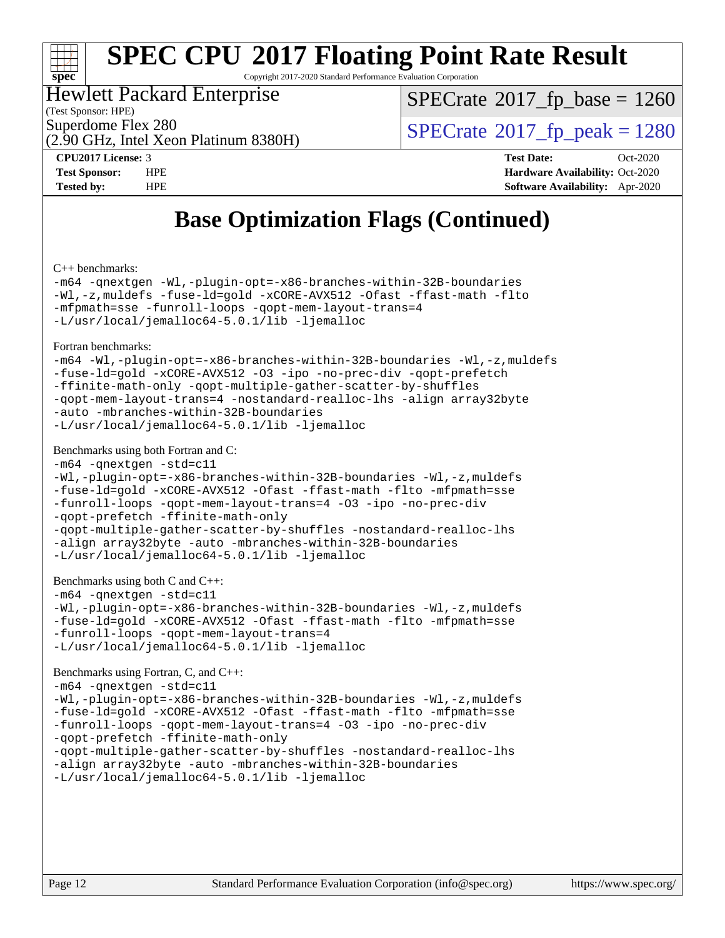

Copyright 2017-2020 Standard Performance Evaluation Corporation

### Hewlett Packard Enterprise

(Test Sponsor: HPE)

[SPECrate](http://www.spec.org/auto/cpu2017/Docs/result-fields.html#SPECrate2017fpbase)<sup>®</sup>2017 fp base = 1260

(2.90 GHz, Intel Xeon Platinum 8380H)

Superdome Flex 280<br>  $\angle Q$  [SPECrate](http://www.spec.org/auto/cpu2017/Docs/result-fields.html#SPECrate2017fppeak)<sup>®</sup>2017 fp\_peak = 1280

**[CPU2017 License:](http://www.spec.org/auto/cpu2017/Docs/result-fields.html#CPU2017License)** 3 **[Test Date:](http://www.spec.org/auto/cpu2017/Docs/result-fields.html#TestDate)** Oct-2020 **[Test Sponsor:](http://www.spec.org/auto/cpu2017/Docs/result-fields.html#TestSponsor)** HPE **[Hardware Availability:](http://www.spec.org/auto/cpu2017/Docs/result-fields.html#HardwareAvailability)** Oct-2020 **[Tested by:](http://www.spec.org/auto/cpu2017/Docs/result-fields.html#Testedby)** HPE **[Software Availability:](http://www.spec.org/auto/cpu2017/Docs/result-fields.html#SoftwareAvailability)** Apr-2020

## **[Base Optimization Flags \(Continued\)](http://www.spec.org/auto/cpu2017/Docs/result-fields.html#BaseOptimizationFlags)**

[C++ benchmarks:](http://www.spec.org/auto/cpu2017/Docs/result-fields.html#CXXbenchmarks)

[-m64](http://www.spec.org/cpu2017/results/res2020q4/cpu2017-20201012-24157.flags.html#user_CXXbase_m64-icc) [-qnextgen](http://www.spec.org/cpu2017/results/res2020q4/cpu2017-20201012-24157.flags.html#user_CXXbase_f-qnextgen) [-Wl,-plugin-opt=-x86-branches-within-32B-boundaries](http://www.spec.org/cpu2017/results/res2020q4/cpu2017-20201012-24157.flags.html#user_CXXbase_f-x86-branches-within-32B-boundaries_0098b4e4317ae60947b7b728078a624952a08ac37a3c797dfb4ffeb399e0c61a9dd0f2f44ce917e9361fb9076ccb15e7824594512dd315205382d84209e912f3) [-Wl,-z,muldefs](http://www.spec.org/cpu2017/results/res2020q4/cpu2017-20201012-24157.flags.html#user_CXXbase_link_force_multiple1_b4cbdb97b34bdee9ceefcfe54f4c8ea74255f0b02a4b23e853cdb0e18eb4525ac79b5a88067c842dd0ee6996c24547a27a4b99331201badda8798ef8a743f577) [-fuse-ld=gold](http://www.spec.org/cpu2017/results/res2020q4/cpu2017-20201012-24157.flags.html#user_CXXbase_f-fuse-ld_920b3586e2b8c6e0748b9c84fa9b744736ba725a32cab14ad8f3d4ad28eecb2f59d1144823d2e17006539a88734fe1fc08fc3035f7676166309105a78aaabc32) [-xCORE-AVX512](http://www.spec.org/cpu2017/results/res2020q4/cpu2017-20201012-24157.flags.html#user_CXXbase_f-xCORE-AVX512) [-Ofast](http://www.spec.org/cpu2017/results/res2020q4/cpu2017-20201012-24157.flags.html#user_CXXbase_f-Ofast) [-ffast-math](http://www.spec.org/cpu2017/results/res2020q4/cpu2017-20201012-24157.flags.html#user_CXXbase_f-ffast-math) [-flto](http://www.spec.org/cpu2017/results/res2020q4/cpu2017-20201012-24157.flags.html#user_CXXbase_f-flto) [-mfpmath=sse](http://www.spec.org/cpu2017/results/res2020q4/cpu2017-20201012-24157.flags.html#user_CXXbase_f-mfpmath_70eb8fac26bde974f8ab713bc9086c5621c0b8d2f6c86f38af0bd7062540daf19db5f3a066d8c6684be05d84c9b6322eb3b5be6619d967835195b93d6c02afa1) [-funroll-loops](http://www.spec.org/cpu2017/results/res2020q4/cpu2017-20201012-24157.flags.html#user_CXXbase_f-funroll-loops) [-qopt-mem-layout-trans=4](http://www.spec.org/cpu2017/results/res2020q4/cpu2017-20201012-24157.flags.html#user_CXXbase_f-qopt-mem-layout-trans_fa39e755916c150a61361b7846f310bcdf6f04e385ef281cadf3647acec3f0ae266d1a1d22d972a7087a248fd4e6ca390a3634700869573d231a252c784941a8) [-L/usr/local/jemalloc64-5.0.1/lib](http://www.spec.org/cpu2017/results/res2020q4/cpu2017-20201012-24157.flags.html#user_CXXbase_jemalloc_link_path64_1_cc289568b1a6c0fd3b62c91b824c27fcb5af5e8098e6ad028160d21144ef1b8aef3170d2acf0bee98a8da324cfe4f67d0a3d0c4cc4673d993d694dc2a0df248b) [-ljemalloc](http://www.spec.org/cpu2017/results/res2020q4/cpu2017-20201012-24157.flags.html#user_CXXbase_jemalloc_link_lib_d1249b907c500fa1c0672f44f562e3d0f79738ae9e3c4a9c376d49f265a04b9c99b167ecedbf6711b3085be911c67ff61f150a17b3472be731631ba4d0471706)

[Fortran benchmarks](http://www.spec.org/auto/cpu2017/Docs/result-fields.html#Fortranbenchmarks):

```
-m64 -Wl,-plugin-opt=-x86-branches-within-32B-boundaries -Wl,-z,muldefs
-fuse-ld=gold -xCORE-AVX512 -O3 -ipo -no-prec-div -qopt-prefetch
-ffinite-math-only -qopt-multiple-gather-scatter-by-shuffles
-qopt-mem-layout-trans=4 -nostandard-realloc-lhs -align array32byte
-auto -mbranches-within-32B-boundaries
-L/usr/local/jemalloc64-5.0.1/lib -ljemalloc
```
#### [Benchmarks using both Fortran and C](http://www.spec.org/auto/cpu2017/Docs/result-fields.html#BenchmarksusingbothFortranandC):

```
-m64 -qnextgen -std=c11
-Wl,-plugin-opt=-x86-branches-within-32B-boundaries -Wl,-z,muldefs
-fuse-ld=gold -xCORE-AVX512 -Ofast -ffast-math -flto -mfpmath=sse
-funroll-loops -qopt-mem-layout-trans=4 -O3 -ipo -no-prec-div
-qopt-prefetch -ffinite-math-only
-qopt-multiple-gather-scatter-by-shuffles -nostandard-realloc-lhs
-align array32byte -auto -mbranches-within-32B-boundaries
-L/usr/local/jemalloc64-5.0.1/lib -ljemalloc
```
[Benchmarks using both C and C++](http://www.spec.org/auto/cpu2017/Docs/result-fields.html#BenchmarksusingbothCandCXX):

```
-m64 -qnextgen -std=c11
-Wl,-plugin-opt=-x86-branches-within-32B-boundaries -Wl,-z,muldefs
-fuse-ld=gold -xCORE-AVX512 -Ofast -ffast-math -flto -mfpmath=sse
-funroll-loops -qopt-mem-layout-trans=4
-L/usr/local/jemalloc64-5.0.1/lib -ljemalloc
```
[Benchmarks using Fortran, C, and C++:](http://www.spec.org/auto/cpu2017/Docs/result-fields.html#BenchmarksusingFortranCandCXX)

```
-m64 -qnextgen -std=c11
-Wl,-plugin-opt=-x86-branches-within-32B-boundaries -Wl,-z,muldefs
-fuse-ld=gold -xCORE-AVX512 -Ofast -ffast-math -flto -mfpmath=sse
-funroll-loops -qopt-mem-layout-trans=4 -O3 -ipo -no-prec-div
-qopt-prefetch -ffinite-math-only
-qopt-multiple-gather-scatter-by-shuffles -nostandard-realloc-lhs
-align array32byte -auto -mbranches-within-32B-boundaries
-L/usr/local/jemalloc64-5.0.1/lib -ljemalloc
```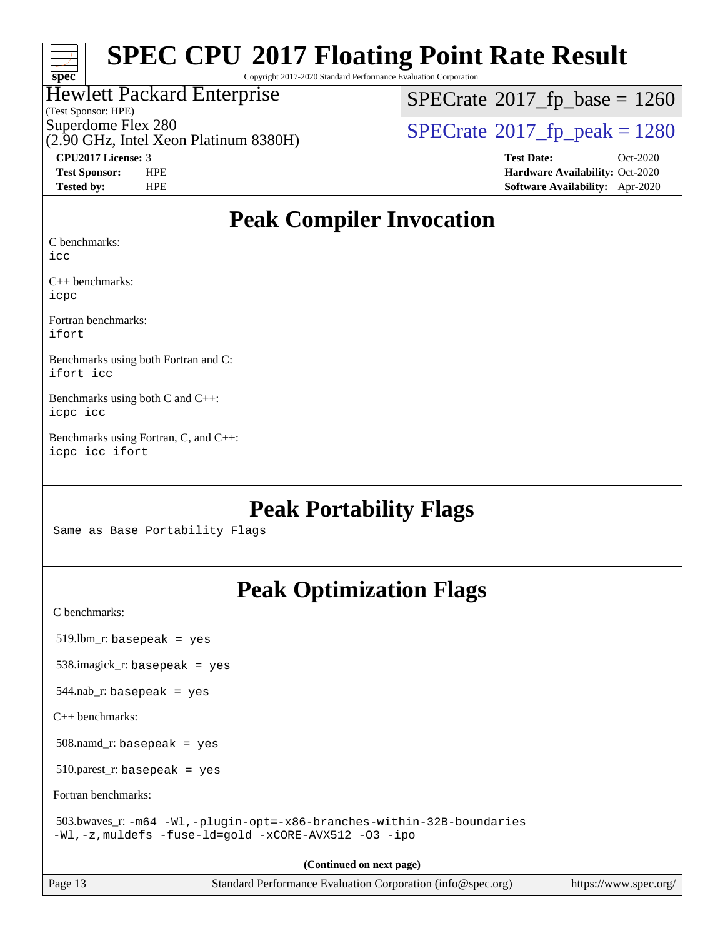

Copyright 2017-2020 Standard Performance Evaluation Corporation

### Hewlett Packard Enterprise

(Test Sponsor: HPE)

 $SPECTate$ <sup>®</sup>[2017\\_fp\\_base =](http://www.spec.org/auto/cpu2017/Docs/result-fields.html#SPECrate2017fpbase) 1260

(2.90 GHz, Intel Xeon Platinum 8380H)

Superdome Flex 280<br>  $\angle$  [SPECrate](http://www.spec.org/auto/cpu2017/Docs/result-fields.html#SPECrate2017fppeak)®[2017\\_fp\\_peak = 1](http://www.spec.org/auto/cpu2017/Docs/result-fields.html#SPECrate2017fppeak)280<br>  $\angle$  SPECrate®2017\_fp\_peak = 1280

**[CPU2017 License:](http://www.spec.org/auto/cpu2017/Docs/result-fields.html#CPU2017License)** 3 **[Test Date:](http://www.spec.org/auto/cpu2017/Docs/result-fields.html#TestDate)** Oct-2020 **[Test Sponsor:](http://www.spec.org/auto/cpu2017/Docs/result-fields.html#TestSponsor)** HPE **[Hardware Availability:](http://www.spec.org/auto/cpu2017/Docs/result-fields.html#HardwareAvailability)** Oct-2020 **[Tested by:](http://www.spec.org/auto/cpu2017/Docs/result-fields.html#Testedby)** HPE **[Software Availability:](http://www.spec.org/auto/cpu2017/Docs/result-fields.html#SoftwareAvailability)** Apr-2020

## **[Peak Compiler Invocation](http://www.spec.org/auto/cpu2017/Docs/result-fields.html#PeakCompilerInvocation)**

[C benchmarks:](http://www.spec.org/auto/cpu2017/Docs/result-fields.html#Cbenchmarks)

[icc](http://www.spec.org/cpu2017/results/res2020q4/cpu2017-20201012-24157.flags.html#user_CCpeak_intel_icc_66fc1ee009f7361af1fbd72ca7dcefbb700085f36577c54f309893dd4ec40d12360134090235512931783d35fd58c0460139e722d5067c5574d8eaf2b3e37e92)

[C++ benchmarks](http://www.spec.org/auto/cpu2017/Docs/result-fields.html#CXXbenchmarks): [icpc](http://www.spec.org/cpu2017/results/res2020q4/cpu2017-20201012-24157.flags.html#user_CXXpeak_intel_icpc_c510b6838c7f56d33e37e94d029a35b4a7bccf4766a728ee175e80a419847e808290a9b78be685c44ab727ea267ec2f070ec5dc83b407c0218cded6866a35d07)

[Fortran benchmarks:](http://www.spec.org/auto/cpu2017/Docs/result-fields.html#Fortranbenchmarks) [ifort](http://www.spec.org/cpu2017/results/res2020q4/cpu2017-20201012-24157.flags.html#user_FCpeak_intel_ifort_8111460550e3ca792625aed983ce982f94888b8b503583aa7ba2b8303487b4d8a21a13e7191a45c5fd58ff318f48f9492884d4413fa793fd88dd292cad7027ca)

[Benchmarks using both Fortran and C:](http://www.spec.org/auto/cpu2017/Docs/result-fields.html#BenchmarksusingbothFortranandC) [ifort](http://www.spec.org/cpu2017/results/res2020q4/cpu2017-20201012-24157.flags.html#user_CC_FCpeak_intel_ifort_8111460550e3ca792625aed983ce982f94888b8b503583aa7ba2b8303487b4d8a21a13e7191a45c5fd58ff318f48f9492884d4413fa793fd88dd292cad7027ca) [icc](http://www.spec.org/cpu2017/results/res2020q4/cpu2017-20201012-24157.flags.html#user_CC_FCpeak_intel_icc_66fc1ee009f7361af1fbd72ca7dcefbb700085f36577c54f309893dd4ec40d12360134090235512931783d35fd58c0460139e722d5067c5574d8eaf2b3e37e92)

[Benchmarks using both C and C++](http://www.spec.org/auto/cpu2017/Docs/result-fields.html#BenchmarksusingbothCandCXX): [icpc](http://www.spec.org/cpu2017/results/res2020q4/cpu2017-20201012-24157.flags.html#user_CC_CXXpeak_intel_icpc_c510b6838c7f56d33e37e94d029a35b4a7bccf4766a728ee175e80a419847e808290a9b78be685c44ab727ea267ec2f070ec5dc83b407c0218cded6866a35d07) [icc](http://www.spec.org/cpu2017/results/res2020q4/cpu2017-20201012-24157.flags.html#user_CC_CXXpeak_intel_icc_66fc1ee009f7361af1fbd72ca7dcefbb700085f36577c54f309893dd4ec40d12360134090235512931783d35fd58c0460139e722d5067c5574d8eaf2b3e37e92)

[Benchmarks using Fortran, C, and C++:](http://www.spec.org/auto/cpu2017/Docs/result-fields.html#BenchmarksusingFortranCandCXX) [icpc](http://www.spec.org/cpu2017/results/res2020q4/cpu2017-20201012-24157.flags.html#user_CC_CXX_FCpeak_intel_icpc_c510b6838c7f56d33e37e94d029a35b4a7bccf4766a728ee175e80a419847e808290a9b78be685c44ab727ea267ec2f070ec5dc83b407c0218cded6866a35d07) [icc](http://www.spec.org/cpu2017/results/res2020q4/cpu2017-20201012-24157.flags.html#user_CC_CXX_FCpeak_intel_icc_66fc1ee009f7361af1fbd72ca7dcefbb700085f36577c54f309893dd4ec40d12360134090235512931783d35fd58c0460139e722d5067c5574d8eaf2b3e37e92) [ifort](http://www.spec.org/cpu2017/results/res2020q4/cpu2017-20201012-24157.flags.html#user_CC_CXX_FCpeak_intel_ifort_8111460550e3ca792625aed983ce982f94888b8b503583aa7ba2b8303487b4d8a21a13e7191a45c5fd58ff318f48f9492884d4413fa793fd88dd292cad7027ca)

## **[Peak Portability Flags](http://www.spec.org/auto/cpu2017/Docs/result-fields.html#PeakPortabilityFlags)**

Same as Base Portability Flags

## **[Peak Optimization Flags](http://www.spec.org/auto/cpu2017/Docs/result-fields.html#PeakOptimizationFlags)**

[C benchmarks](http://www.spec.org/auto/cpu2017/Docs/result-fields.html#Cbenchmarks):

519.lbm\_r: basepeak = yes

538.imagick\_r: basepeak = yes

 $544$ .nab\_r: basepeak = yes

[C++ benchmarks:](http://www.spec.org/auto/cpu2017/Docs/result-fields.html#CXXbenchmarks)

508.namd\_r: basepeak = yes

510.parest\_r: basepeak = yes

[Fortran benchmarks](http://www.spec.org/auto/cpu2017/Docs/result-fields.html#Fortranbenchmarks):

 503.bwaves\_r: [-m64](http://www.spec.org/cpu2017/results/res2020q4/cpu2017-20201012-24157.flags.html#user_peakFCLD503_bwaves_r_m64-icc) [-Wl,-plugin-opt=-x86-branches-within-32B-boundaries](http://www.spec.org/cpu2017/results/res2020q4/cpu2017-20201012-24157.flags.html#user_peakLDFLAGS503_bwaves_r_f-x86-branches-within-32B-boundaries_0098b4e4317ae60947b7b728078a624952a08ac37a3c797dfb4ffeb399e0c61a9dd0f2f44ce917e9361fb9076ccb15e7824594512dd315205382d84209e912f3) [-Wl,-z,muldefs](http://www.spec.org/cpu2017/results/res2020q4/cpu2017-20201012-24157.flags.html#user_peakEXTRA_LDFLAGS503_bwaves_r_link_force_multiple1_b4cbdb97b34bdee9ceefcfe54f4c8ea74255f0b02a4b23e853cdb0e18eb4525ac79b5a88067c842dd0ee6996c24547a27a4b99331201badda8798ef8a743f577) [-fuse-ld=gold](http://www.spec.org/cpu2017/results/res2020q4/cpu2017-20201012-24157.flags.html#user_peakEXTRA_LDFLAGS503_bwaves_r_f-fuse-ld_920b3586e2b8c6e0748b9c84fa9b744736ba725a32cab14ad8f3d4ad28eecb2f59d1144823d2e17006539a88734fe1fc08fc3035f7676166309105a78aaabc32) [-xCORE-AVX512](http://www.spec.org/cpu2017/results/res2020q4/cpu2017-20201012-24157.flags.html#user_peakFOPTIMIZE503_bwaves_r_f-xCORE-AVX512) [-O3](http://www.spec.org/cpu2017/results/res2020q4/cpu2017-20201012-24157.flags.html#user_peakFOPTIMIZE503_bwaves_r_f-O3) [-ipo](http://www.spec.org/cpu2017/results/res2020q4/cpu2017-20201012-24157.flags.html#user_peakFOPTIMIZE503_bwaves_r_f-ipo)

**(Continued on next page)**

Page 13 Standard Performance Evaluation Corporation [\(info@spec.org\)](mailto:info@spec.org) <https://www.spec.org/>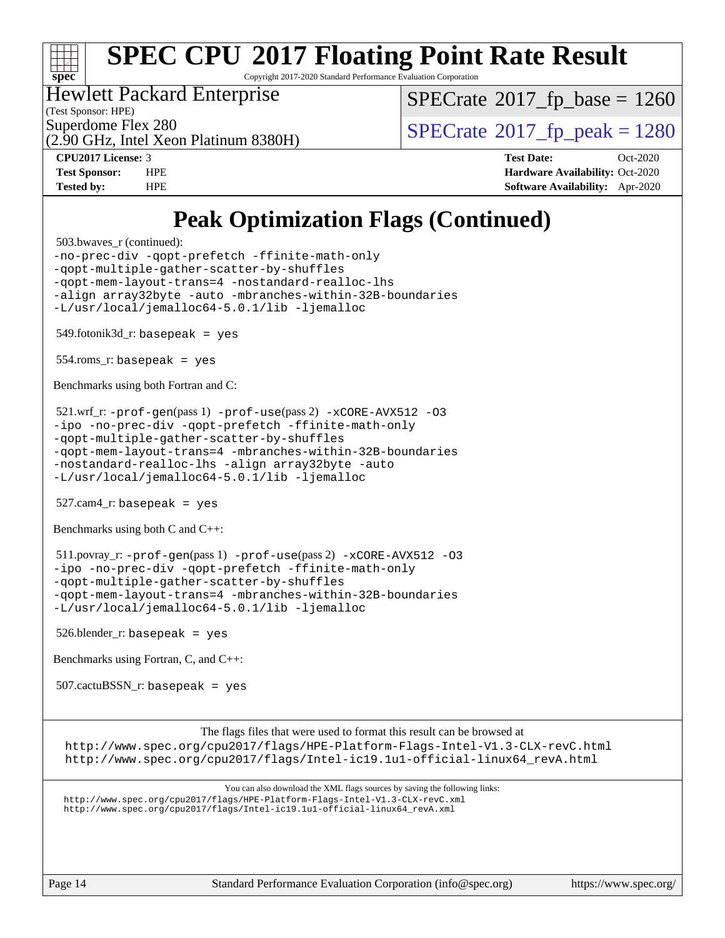

Copyright 2017-2020 Standard Performance Evaluation Corporation

### Hewlett Packard Enterprise

(Test Sponsor: HPE)

[SPECrate](http://www.spec.org/auto/cpu2017/Docs/result-fields.html#SPECrate2017fpbase)<sup>®</sup>2017 fp base = 1260

(2.90 GHz, Intel Xeon Platinum 8380H)

Superdome Flex 280<br> $\alpha$  [SPECrate](http://www.spec.org/auto/cpu2017/Docs/result-fields.html#SPECrate2017fppeak)®[2017\\_fp\\_peak = 1](http://www.spec.org/auto/cpu2017/Docs/result-fields.html#SPECrate2017fppeak)280

**[CPU2017 License:](http://www.spec.org/auto/cpu2017/Docs/result-fields.html#CPU2017License)** 3 **[Test Date:](http://www.spec.org/auto/cpu2017/Docs/result-fields.html#TestDate)** Oct-2020 **[Test Sponsor:](http://www.spec.org/auto/cpu2017/Docs/result-fields.html#TestSponsor)** HPE **[Hardware Availability:](http://www.spec.org/auto/cpu2017/Docs/result-fields.html#HardwareAvailability)** Oct-2020 **[Tested by:](http://www.spec.org/auto/cpu2017/Docs/result-fields.html#Testedby)** HPE **[Software Availability:](http://www.spec.org/auto/cpu2017/Docs/result-fields.html#SoftwareAvailability)** Apr-2020

## **[Peak Optimization Flags \(Continued\)](http://www.spec.org/auto/cpu2017/Docs/result-fields.html#PeakOptimizationFlags)**

503.bwaves\_r (continued):

[-no-prec-div](http://www.spec.org/cpu2017/results/res2020q4/cpu2017-20201012-24157.flags.html#user_peakFOPTIMIZE503_bwaves_r_f-no-prec-div) [-qopt-prefetch](http://www.spec.org/cpu2017/results/res2020q4/cpu2017-20201012-24157.flags.html#user_peakFOPTIMIZE503_bwaves_r_f-qopt-prefetch) [-ffinite-math-only](http://www.spec.org/cpu2017/results/res2020q4/cpu2017-20201012-24157.flags.html#user_peakFOPTIMIZE503_bwaves_r_f_finite_math_only_cb91587bd2077682c4b38af759c288ed7c732db004271a9512da14a4f8007909a5f1427ecbf1a0fb78ff2a814402c6114ac565ca162485bbcae155b5e4258871) [-qopt-multiple-gather-scatter-by-shuffles](http://www.spec.org/cpu2017/results/res2020q4/cpu2017-20201012-24157.flags.html#user_peakFOPTIMIZE503_bwaves_r_f-qopt-multiple-gather-scatter-by-shuffles) [-qopt-mem-layout-trans=4](http://www.spec.org/cpu2017/results/res2020q4/cpu2017-20201012-24157.flags.html#user_peakFOPTIMIZE503_bwaves_r_f-qopt-mem-layout-trans_fa39e755916c150a61361b7846f310bcdf6f04e385ef281cadf3647acec3f0ae266d1a1d22d972a7087a248fd4e6ca390a3634700869573d231a252c784941a8) [-nostandard-realloc-lhs](http://www.spec.org/cpu2017/results/res2020q4/cpu2017-20201012-24157.flags.html#user_peakEXTRA_FOPTIMIZE503_bwaves_r_f_2003_std_realloc_82b4557e90729c0f113870c07e44d33d6f5a304b4f63d4c15d2d0f1fab99f5daaed73bdb9275d9ae411527f28b936061aa8b9c8f2d63842963b95c9dd6426b8a) [-align array32byte](http://www.spec.org/cpu2017/results/res2020q4/cpu2017-20201012-24157.flags.html#user_peakEXTRA_FOPTIMIZE503_bwaves_r_align_array32byte_b982fe038af199962ba9a80c053b8342c548c85b40b8e86eb3cc33dee0d7986a4af373ac2d51c3f7cf710a18d62fdce2948f201cd044323541f22fc0fffc51b6) [-auto](http://www.spec.org/cpu2017/results/res2020q4/cpu2017-20201012-24157.flags.html#user_peakEXTRA_FOPTIMIZE503_bwaves_r_f-auto) [-mbranches-within-32B-boundaries](http://www.spec.org/cpu2017/results/res2020q4/cpu2017-20201012-24157.flags.html#user_peakEXTRA_FOPTIMIZE503_bwaves_r_f-mbranches-within-32B-boundaries) [-L/usr/local/jemalloc64-5.0.1/lib](http://www.spec.org/cpu2017/results/res2020q4/cpu2017-20201012-24157.flags.html#user_peakEXTRA_LIBS503_bwaves_r_jemalloc_link_path64_1_cc289568b1a6c0fd3b62c91b824c27fcb5af5e8098e6ad028160d21144ef1b8aef3170d2acf0bee98a8da324cfe4f67d0a3d0c4cc4673d993d694dc2a0df248b) [-ljemalloc](http://www.spec.org/cpu2017/results/res2020q4/cpu2017-20201012-24157.flags.html#user_peakEXTRA_LIBS503_bwaves_r_jemalloc_link_lib_d1249b907c500fa1c0672f44f562e3d0f79738ae9e3c4a9c376d49f265a04b9c99b167ecedbf6711b3085be911c67ff61f150a17b3472be731631ba4d0471706) 549.fotonik3d\_r: basepeak = yes

554.roms\_r: basepeak = yes

[Benchmarks using both Fortran and C](http://www.spec.org/auto/cpu2017/Docs/result-fields.html#BenchmarksusingbothFortranandC):

 521.wrf\_r: [-prof-gen](http://www.spec.org/cpu2017/results/res2020q4/cpu2017-20201012-24157.flags.html#user_peakPASS1_CFLAGSPASS1_FFLAGSPASS1_LDFLAGS521_wrf_r_prof_gen_5aa4926d6013ddb2a31985c654b3eb18169fc0c6952a63635c234f711e6e63dd76e94ad52365559451ec499a2cdb89e4dc58ba4c67ef54ca681ffbe1461d6b36)(pass 1) [-prof-use](http://www.spec.org/cpu2017/results/res2020q4/cpu2017-20201012-24157.flags.html#user_peakPASS2_CFLAGSPASS2_FFLAGSPASS2_LDFLAGS521_wrf_r_prof_use_1a21ceae95f36a2b53c25747139a6c16ca95bd9def2a207b4f0849963b97e94f5260e30a0c64f4bb623698870e679ca08317ef8150905d41bd88c6f78df73f19)(pass 2) [-xCORE-AVX512](http://www.spec.org/cpu2017/results/res2020q4/cpu2017-20201012-24157.flags.html#user_peakCOPTIMIZEPASS2_COPTIMIZEPASS2_FOPTIMIZE521_wrf_r_f-xCORE-AVX512) [-O3](http://www.spec.org/cpu2017/results/res2020q4/cpu2017-20201012-24157.flags.html#user_peakCOPTIMIZEPASS1_COPTIMIZEPASS1_FOPTIMIZEPASS2_COPTIMIZEPASS2_FOPTIMIZE521_wrf_r_f-O3) [-ipo](http://www.spec.org/cpu2017/results/res2020q4/cpu2017-20201012-24157.flags.html#user_peakCOPTIMIZEPASS1_COPTIMIZEPASS1_FOPTIMIZEPASS2_COPTIMIZEPASS2_FOPTIMIZE521_wrf_r_f-ipo) [-no-prec-div](http://www.spec.org/cpu2017/results/res2020q4/cpu2017-20201012-24157.flags.html#user_peakCOPTIMIZEPASS1_COPTIMIZEPASS1_FOPTIMIZEPASS2_COPTIMIZEPASS2_FOPTIMIZE521_wrf_r_f-no-prec-div) [-qopt-prefetch](http://www.spec.org/cpu2017/results/res2020q4/cpu2017-20201012-24157.flags.html#user_peakCOPTIMIZEPASS1_COPTIMIZEPASS1_FOPTIMIZEPASS2_COPTIMIZEPASS2_FOPTIMIZE521_wrf_r_f-qopt-prefetch) [-ffinite-math-only](http://www.spec.org/cpu2017/results/res2020q4/cpu2017-20201012-24157.flags.html#user_peakCOPTIMIZEPASS1_COPTIMIZEPASS1_FOPTIMIZEPASS2_COPTIMIZEPASS2_FOPTIMIZE521_wrf_r_f_finite_math_only_cb91587bd2077682c4b38af759c288ed7c732db004271a9512da14a4f8007909a5f1427ecbf1a0fb78ff2a814402c6114ac565ca162485bbcae155b5e4258871) [-qopt-multiple-gather-scatter-by-shuffles](http://www.spec.org/cpu2017/results/res2020q4/cpu2017-20201012-24157.flags.html#user_peakCOPTIMIZEPASS1_COPTIMIZEPASS1_FOPTIMIZEPASS2_COPTIMIZEPASS2_FOPTIMIZE521_wrf_r_f-qopt-multiple-gather-scatter-by-shuffles) [-qopt-mem-layout-trans=4](http://www.spec.org/cpu2017/results/res2020q4/cpu2017-20201012-24157.flags.html#user_peakCOPTIMIZEFOPTIMIZEPASS1_COPTIMIZEPASS1_FOPTIMIZEPASS2_COPTIMIZEPASS2_FOPTIMIZE521_wrf_r_f-qopt-mem-layout-trans_fa39e755916c150a61361b7846f310bcdf6f04e385ef281cadf3647acec3f0ae266d1a1d22d972a7087a248fd4e6ca390a3634700869573d231a252c784941a8) [-mbranches-within-32B-boundaries](http://www.spec.org/cpu2017/results/res2020q4/cpu2017-20201012-24157.flags.html#user_peakEXTRA_COPTIMIZEEXTRA_FOPTIMIZE521_wrf_r_f-mbranches-within-32B-boundaries) [-nostandard-realloc-lhs](http://www.spec.org/cpu2017/results/res2020q4/cpu2017-20201012-24157.flags.html#user_peakEXTRA_FOPTIMIZE521_wrf_r_f_2003_std_realloc_82b4557e90729c0f113870c07e44d33d6f5a304b4f63d4c15d2d0f1fab99f5daaed73bdb9275d9ae411527f28b936061aa8b9c8f2d63842963b95c9dd6426b8a) [-align array32byte](http://www.spec.org/cpu2017/results/res2020q4/cpu2017-20201012-24157.flags.html#user_peakEXTRA_FOPTIMIZE521_wrf_r_align_array32byte_b982fe038af199962ba9a80c053b8342c548c85b40b8e86eb3cc33dee0d7986a4af373ac2d51c3f7cf710a18d62fdce2948f201cd044323541f22fc0fffc51b6) [-auto](http://www.spec.org/cpu2017/results/res2020q4/cpu2017-20201012-24157.flags.html#user_peakEXTRA_FOPTIMIZE521_wrf_r_f-auto) [-L/usr/local/jemalloc64-5.0.1/lib](http://www.spec.org/cpu2017/results/res2020q4/cpu2017-20201012-24157.flags.html#user_peakEXTRA_LIBS521_wrf_r_jemalloc_link_path64_1_cc289568b1a6c0fd3b62c91b824c27fcb5af5e8098e6ad028160d21144ef1b8aef3170d2acf0bee98a8da324cfe4f67d0a3d0c4cc4673d993d694dc2a0df248b) [-ljemalloc](http://www.spec.org/cpu2017/results/res2020q4/cpu2017-20201012-24157.flags.html#user_peakEXTRA_LIBS521_wrf_r_jemalloc_link_lib_d1249b907c500fa1c0672f44f562e3d0f79738ae9e3c4a9c376d49f265a04b9c99b167ecedbf6711b3085be911c67ff61f150a17b3472be731631ba4d0471706)

 $527.cam4_r$ : basepeak = yes

[Benchmarks using both C and C++](http://www.spec.org/auto/cpu2017/Docs/result-fields.html#BenchmarksusingbothCandCXX):

 511.povray\_r: [-prof-gen](http://www.spec.org/cpu2017/results/res2020q4/cpu2017-20201012-24157.flags.html#user_peakPASS1_CFLAGSPASS1_CXXFLAGSPASS1_LDFLAGS511_povray_r_prof_gen_5aa4926d6013ddb2a31985c654b3eb18169fc0c6952a63635c234f711e6e63dd76e94ad52365559451ec499a2cdb89e4dc58ba4c67ef54ca681ffbe1461d6b36)(pass 1) [-prof-use](http://www.spec.org/cpu2017/results/res2020q4/cpu2017-20201012-24157.flags.html#user_peakPASS2_CFLAGSPASS2_CXXFLAGSPASS2_LDFLAGS511_povray_r_prof_use_1a21ceae95f36a2b53c25747139a6c16ca95bd9def2a207b4f0849963b97e94f5260e30a0c64f4bb623698870e679ca08317ef8150905d41bd88c6f78df73f19)(pass 2) [-xCORE-AVX512](http://www.spec.org/cpu2017/results/res2020q4/cpu2017-20201012-24157.flags.html#user_peakCOPTIMIZECXXOPTIMIZEPASS2_COPTIMIZEPASS2_CXXOPTIMIZE511_povray_r_f-xCORE-AVX512) [-O3](http://www.spec.org/cpu2017/results/res2020q4/cpu2017-20201012-24157.flags.html#user_peakCOPTIMIZECXXOPTIMIZEPASS1_COPTIMIZEPASS1_CXXOPTIMIZEPASS2_COPTIMIZEPASS2_CXXOPTIMIZE511_povray_r_f-O3) [-ipo](http://www.spec.org/cpu2017/results/res2020q4/cpu2017-20201012-24157.flags.html#user_peakCOPTIMIZECXXOPTIMIZEPASS1_COPTIMIZEPASS1_CXXOPTIMIZEPASS2_COPTIMIZEPASS2_CXXOPTIMIZE511_povray_r_f-ipo) [-no-prec-div](http://www.spec.org/cpu2017/results/res2020q4/cpu2017-20201012-24157.flags.html#user_peakCOPTIMIZECXXOPTIMIZEPASS1_COPTIMIZEPASS1_CXXOPTIMIZEPASS2_COPTIMIZEPASS2_CXXOPTIMIZE511_povray_r_f-no-prec-div) [-qopt-prefetch](http://www.spec.org/cpu2017/results/res2020q4/cpu2017-20201012-24157.flags.html#user_peakCOPTIMIZECXXOPTIMIZEPASS1_COPTIMIZEPASS1_CXXOPTIMIZEPASS2_COPTIMIZEPASS2_CXXOPTIMIZE511_povray_r_f-qopt-prefetch) [-ffinite-math-only](http://www.spec.org/cpu2017/results/res2020q4/cpu2017-20201012-24157.flags.html#user_peakCOPTIMIZECXXOPTIMIZEPASS1_COPTIMIZEPASS1_CXXOPTIMIZEPASS2_COPTIMIZEPASS2_CXXOPTIMIZE511_povray_r_f_finite_math_only_cb91587bd2077682c4b38af759c288ed7c732db004271a9512da14a4f8007909a5f1427ecbf1a0fb78ff2a814402c6114ac565ca162485bbcae155b5e4258871) [-qopt-multiple-gather-scatter-by-shuffles](http://www.spec.org/cpu2017/results/res2020q4/cpu2017-20201012-24157.flags.html#user_peakCOPTIMIZECXXOPTIMIZEPASS1_COPTIMIZEPASS1_CXXOPTIMIZEPASS2_COPTIMIZEPASS2_CXXOPTIMIZE511_povray_r_f-qopt-multiple-gather-scatter-by-shuffles) [-qopt-mem-layout-trans=4](http://www.spec.org/cpu2017/results/res2020q4/cpu2017-20201012-24157.flags.html#user_peakCOPTIMIZECXXOPTIMIZEPASS1_COPTIMIZEPASS1_CXXOPTIMIZEPASS2_COPTIMIZEPASS2_CXXOPTIMIZE511_povray_r_f-qopt-mem-layout-trans_fa39e755916c150a61361b7846f310bcdf6f04e385ef281cadf3647acec3f0ae266d1a1d22d972a7087a248fd4e6ca390a3634700869573d231a252c784941a8) [-mbranches-within-32B-boundaries](http://www.spec.org/cpu2017/results/res2020q4/cpu2017-20201012-24157.flags.html#user_peakEXTRA_COPTIMIZEEXTRA_CXXOPTIMIZE511_povray_r_f-mbranches-within-32B-boundaries) [-L/usr/local/jemalloc64-5.0.1/lib](http://www.spec.org/cpu2017/results/res2020q4/cpu2017-20201012-24157.flags.html#user_peakEXTRA_LIBS511_povray_r_jemalloc_link_path64_1_cc289568b1a6c0fd3b62c91b824c27fcb5af5e8098e6ad028160d21144ef1b8aef3170d2acf0bee98a8da324cfe4f67d0a3d0c4cc4673d993d694dc2a0df248b) [-ljemalloc](http://www.spec.org/cpu2017/results/res2020q4/cpu2017-20201012-24157.flags.html#user_peakEXTRA_LIBS511_povray_r_jemalloc_link_lib_d1249b907c500fa1c0672f44f562e3d0f79738ae9e3c4a9c376d49f265a04b9c99b167ecedbf6711b3085be911c67ff61f150a17b3472be731631ba4d0471706)

526.blender\_r: basepeak = yes

[Benchmarks using Fortran, C, and C++:](http://www.spec.org/auto/cpu2017/Docs/result-fields.html#BenchmarksusingFortranCandCXX)

507.cactuBSSN\_r: basepeak = yes

[The flags files that were used to format this result can be browsed at](tmsearch)

<http://www.spec.org/cpu2017/flags/HPE-Platform-Flags-Intel-V1.3-CLX-revC.html> [http://www.spec.org/cpu2017/flags/Intel-ic19.1u1-official-linux64\\_revA.html](http://www.spec.org/cpu2017/flags/Intel-ic19.1u1-official-linux64_revA.html)

[You can also download the XML flags sources by saving the following links:](tmsearch) <http://www.spec.org/cpu2017/flags/HPE-Platform-Flags-Intel-V1.3-CLX-revC.xml> [http://www.spec.org/cpu2017/flags/Intel-ic19.1u1-official-linux64\\_revA.xml](http://www.spec.org/cpu2017/flags/Intel-ic19.1u1-official-linux64_revA.xml)